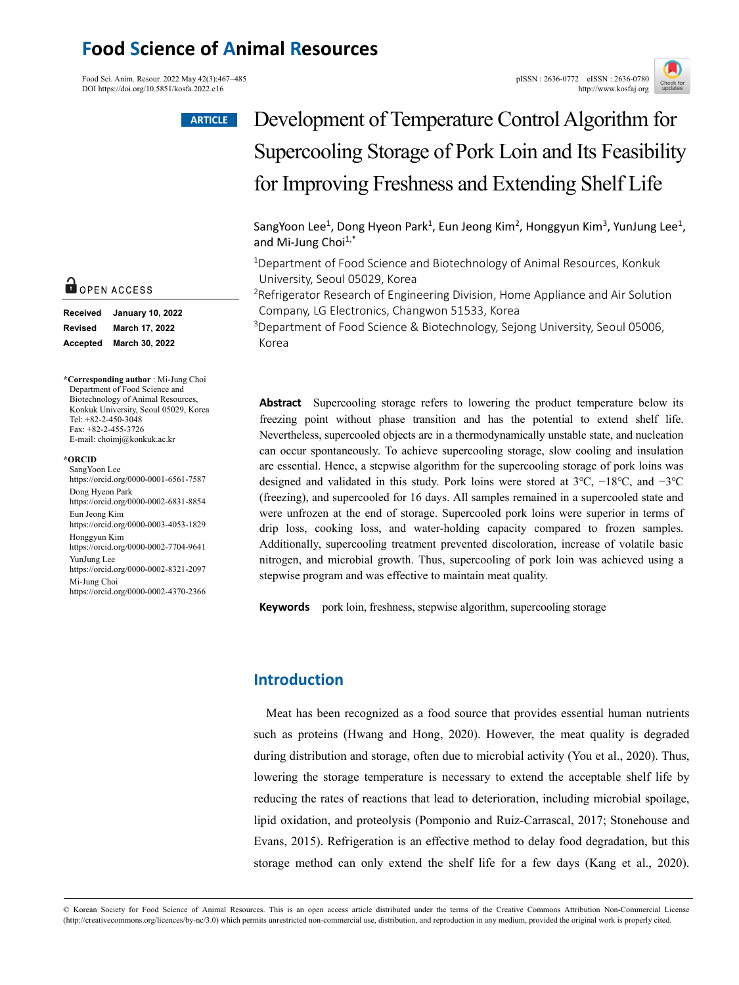## **Food Science of Animal Resources**

Food Sci. Anim. Resour. 2022 May 42(3):467~485<br>
DOI https://doi.org/10.5851/kosfa.2022.e16<br>
pISSN : 2636-0772 eISSN : 2636-0780 DOI https://doi.org/10.5851/kosfa.2022.e16



#### **ARTICLE**



| Received       | <b>January 10, 2022</b> |
|----------------|-------------------------|
| <b>Revised</b> | March 17, 2022          |
| Accepted       | March 30, 2022          |

**\*Corresponding author** : Mi-Jung Choi Department of Food Science and Biotechnology of Animal Resources, Konkuk University, Seoul 05029, Korea Tel: +82-2-450-3048 Fax: +82-2-455-3726 E-mail: choimj@konkuk.ac.kr

#### **\*ORCID**

SangYoon Lee https://orcid.org/0000-0001-6561-7587 Dong Hyeon Park https://orcid.org/0000-0002-6831-8854 Eun Jeong Kim https://orcid.org/0000-0003-4053-1829 Honggyun Kim https://orcid.org/0000-0002-7704-9641 YunJung Lee https://orcid.org/0000-0002-8321-2097 Mi-Jung Choi https://orcid.org/0000-0002-4370-2366

# Development of Temperature Control Algorithm for Supercooling Storage of Pork Loin and Its Feasibility for Improving Freshness and Extending Shelf Life

SangYoon Lee<sup>1</sup>, Dong Hyeon Park<sup>1</sup>, Eun Jeong Kim<sup>2</sup>, Honggyun Kim<sup>3</sup>, YunJung Lee<sup>1</sup>, and Mi-Jung Choi $1,^*$ 

1Department of Food Science and Biotechnology of Animal Resources, Konkuk University, Seoul 05029, Korea

2Refrigerator Research of Engineering Division, Home Appliance and Air Solution Company, LG Electronics, Changwon 51533, Korea

<sup>3</sup>Department of Food Science & Biotechnology, Sejong University, Seoul 05006, Korea

**Abstract** Supercooling storage refers to lowering the product temperature below its freezing point without phase transition and has the potential to extend shelf life. Nevertheless, supercooled objects are in a thermodynamically unstable state, and nucleation can occur spontaneously. To achieve supercooling storage, slow cooling and insulation are essential. Hence, a stepwise algorithm for the supercooling storage of pork loins was designed and validated in this study. Pork loins were stored at 3℃, −18℃, and −3℃ (freezing), and supercooled for 16 days. All samples remained in a supercooled state and were unfrozen at the end of storage. Supercooled pork loins were superior in terms of drip loss, cooking loss, and water-holding capacity compared to frozen samples. Additionally, supercooling treatment prevented discoloration, increase of volatile basic nitrogen, and microbial growth. Thus, supercooling of pork loin was achieved using a stepwise program and was effective to maintain meat quality.

**Keywords** pork loin, freshness, stepwise algorithm, supercooling storage

## **Introduction**

Meat has been recognized as a food source that provides essential human nutrients such as proteins (Hwang and Hong, 2020). However, the meat quality is degraded during distribution and storage, often due to microbial activity (You et al., 2020). Thus, lowering the storage temperature is necessary to extend the acceptable shelf life by reducing the rates of reactions that lead to deterioration, including microbial spoilage, lipid oxidation, and proteolysis (Pomponio and Ruiz-Carrascal, 2017; Stonehouse and Evans, 2015). Refrigeration is an effective method to delay food degradation, but this storage method can only extend the shelf life for a few days (Kang et al., 2020).

© Korean Society for Food Science of Animal Resources. This is an open access article distributed under the terms of the Creative Commons Attribution Non-Commercial License (http://creativecommons.org/licences/by-nc/3.0) which permits unrestricted non-commercial use, distribution, and reproduction in any medium, provided the original work is properly cited.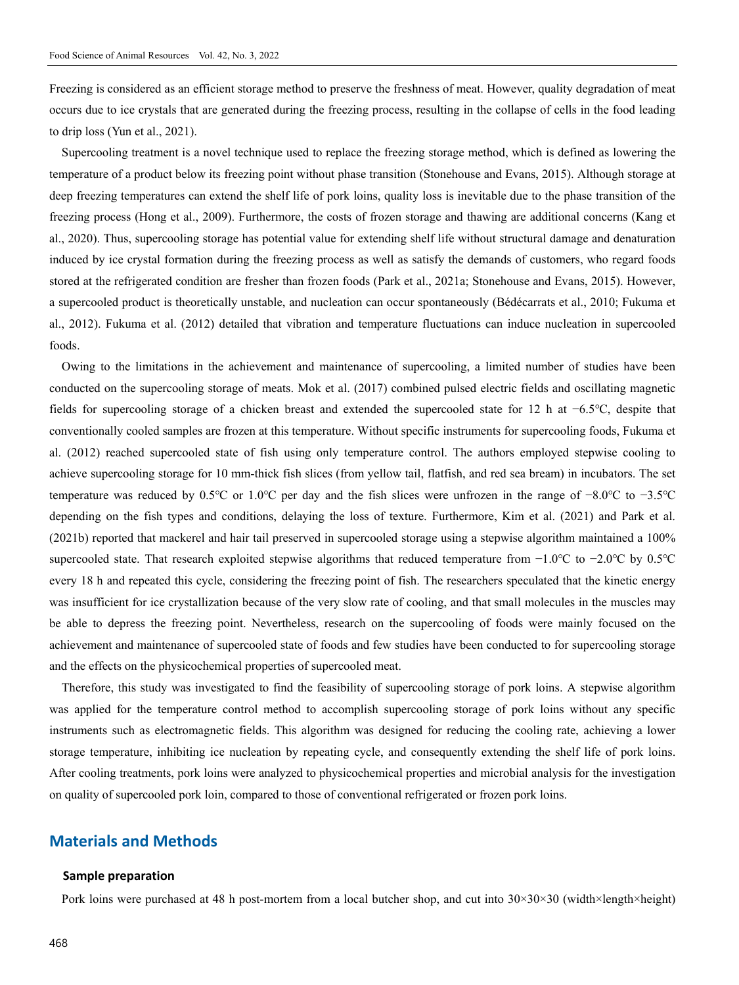Freezing is considered as an efficient storage method to preserve the freshness of meat. However, quality degradation of meat occurs due to ice crystals that are generated during the freezing process, resulting in the collapse of cells in the food leading to drip loss (Yun et al., 2021).

Supercooling treatment is a novel technique used to replace the freezing storage method, which is defined as lowering the temperature of a product below its freezing point without phase transition (Stonehouse and Evans, 2015). Although storage at deep freezing temperatures can extend the shelf life of pork loins, quality loss is inevitable due to the phase transition of the freezing process (Hong et al., 2009). Furthermore, the costs of frozen storage and thawing are additional concerns (Kang et al., 2020). Thus, supercooling storage has potential value for extending shelf life without structural damage and denaturation induced by ice crystal formation during the freezing process as well as satisfy the demands of customers, who regard foods stored at the refrigerated condition are fresher than frozen foods (Park et al., 2021a; Stonehouse and Evans, 2015). However, a supercooled product is theoretically unstable, and nucleation can occur spontaneously (Bédécarrats et al., 2010; Fukuma et al., 2012). Fukuma et al. (2012) detailed that vibration and temperature fluctuations can induce nucleation in supercooled foods.

Owing to the limitations in the achievement and maintenance of supercooling, a limited number of studies have been conducted on the supercooling storage of meats. Mok et al. (2017) combined pulsed electric fields and oscillating magnetic fields for supercooling storage of a chicken breast and extended the supercooled state for 12 h at −6.5℃, despite that conventionally cooled samples are frozen at this temperature. Without specific instruments for supercooling foods, Fukuma et al. (2012) reached supercooled state of fish using only temperature control. The authors employed stepwise cooling to achieve supercooling storage for 10 mm-thick fish slices (from yellow tail, flatfish, and red sea bream) in incubators. The set temperature was reduced by 0.5℃ or 1.0℃ per day and the fish slices were unfrozen in the range of −8.0℃ to −3.5℃ depending on the fish types and conditions, delaying the loss of texture. Furthermore, Kim et al. (2021) and Park et al. (2021b) reported that mackerel and hair tail preserved in supercooled storage using a stepwise algorithm maintained a 100% supercooled state. That research exploited stepwise algorithms that reduced temperature from −1.0°C to −2.0°C by 0.5°C every 18 h and repeated this cycle, considering the freezing point of fish. The researchers speculated that the kinetic energy was insufficient for ice crystallization because of the very slow rate of cooling, and that small molecules in the muscles may be able to depress the freezing point. Nevertheless, research on the supercooling of foods were mainly focused on the achievement and maintenance of supercooled state of foods and few studies have been conducted to for supercooling storage and the effects on the physicochemical properties of supercooled meat.

Therefore, this study was investigated to find the feasibility of supercooling storage of pork loins. A stepwise algorithm was applied for the temperature control method to accomplish supercooling storage of pork loins without any specific instruments such as electromagnetic fields. This algorithm was designed for reducing the cooling rate, achieving a lower storage temperature, inhibiting ice nucleation by repeating cycle, and consequently extending the shelf life of pork loins. After cooling treatments, pork loins were analyzed to physicochemical properties and microbial analysis for the investigation on quality of supercooled pork loin, compared to those of conventional refrigerated or frozen pork loins.

### **Materials and Methods**

#### **Sample preparation**

Pork loins were purchased at 48 h post-mortem from a local butcher shop, and cut into 30×30×30 (width×length×height)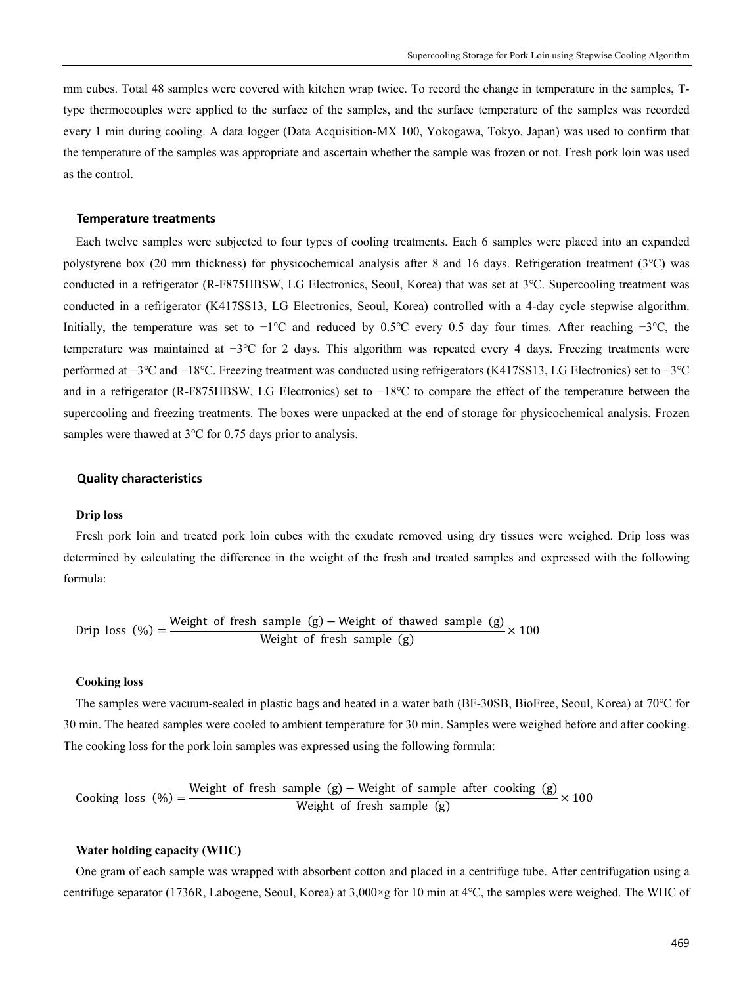mm cubes. Total 48 samples were covered with kitchen wrap twice. To record the change in temperature in the samples, Ttype thermocouples were applied to the surface of the samples, and the surface temperature of the samples was recorded every 1 min during cooling. A data logger (Data Acquisition-MX 100, Yokogawa, Tokyo, Japan) was used to confirm that the temperature of the samples was appropriate and ascertain whether the sample was frozen or not. Fresh pork loin was used as the control.

#### **Temperature treatments**

Each twelve samples were subjected to four types of cooling treatments. Each 6 samples were placed into an expanded polystyrene box (20 mm thickness) for physicochemical analysis after 8 and 16 days. Refrigeration treatment (3℃) was conducted in a refrigerator (R-F875HBSW, LG Electronics, Seoul, Korea) that was set at 3℃. Supercooling treatment was conducted in a refrigerator (K417SS13, LG Electronics, Seoul, Korea) controlled with a 4-day cycle stepwise algorithm. Initially, the temperature was set to −1℃ and reduced by 0.5℃ every 0.5 day four times. After reaching −3℃, the temperature was maintained at −3℃ for 2 days. This algorithm was repeated every 4 days. Freezing treatments were performed at −3℃ and −18℃. Freezing treatment was conducted using refrigerators (K417SS13, LG Electronics) set to −3℃ and in a refrigerator (R-F875HBSW, LG Electronics) set to −18℃ to compare the effect of the temperature between the supercooling and freezing treatments. The boxes were unpacked at the end of storage for physicochemical analysis. Frozen samples were thawed at 3℃ for 0.75 days prior to analysis.

#### **Quality characteristics**

#### **Drip loss**

Fresh pork loin and treated pork loin cubes with the exudate removed using dry tissues were weighed. Drip loss was determined by calculating the difference in the weight of the fresh and treated samples and expressed with the following formula:

 Drip loss (%) <sup>=</sup> Weight of fresh sample (g) − Weight of thawed sample (g) Weight of fresh sample (g) × 100

#### **Cooking loss**

The samples were vacuum-sealed in plastic bags and heated in a water bath (BF-30SB, BioFree, Seoul, Korea) at 70℃ for 30 min. The heated samples were cooled to ambient temperature for 30 min. Samples were weighed before and after cooking. The cooking loss for the pork loin samples was expressed using the following formula:

\n Cooking loss 
$$
(\%) = \frac{\text{Weight of fresh sample (g)} - \text{Weight of sample after cooking (g)}}{\text{Weight of fresh sample (g)}} \times 100
$$
\n

#### **Water holding capacity (WHC)**

One gram of each sample was wrapped with absorbent cotton and placed in a centrifuge tube. After centrifugation using a centrifuge separator (1736R, Labogene, Seoul, Korea) at 3,000×g for 10 min at 4℃, the samples were weighed. The WHC of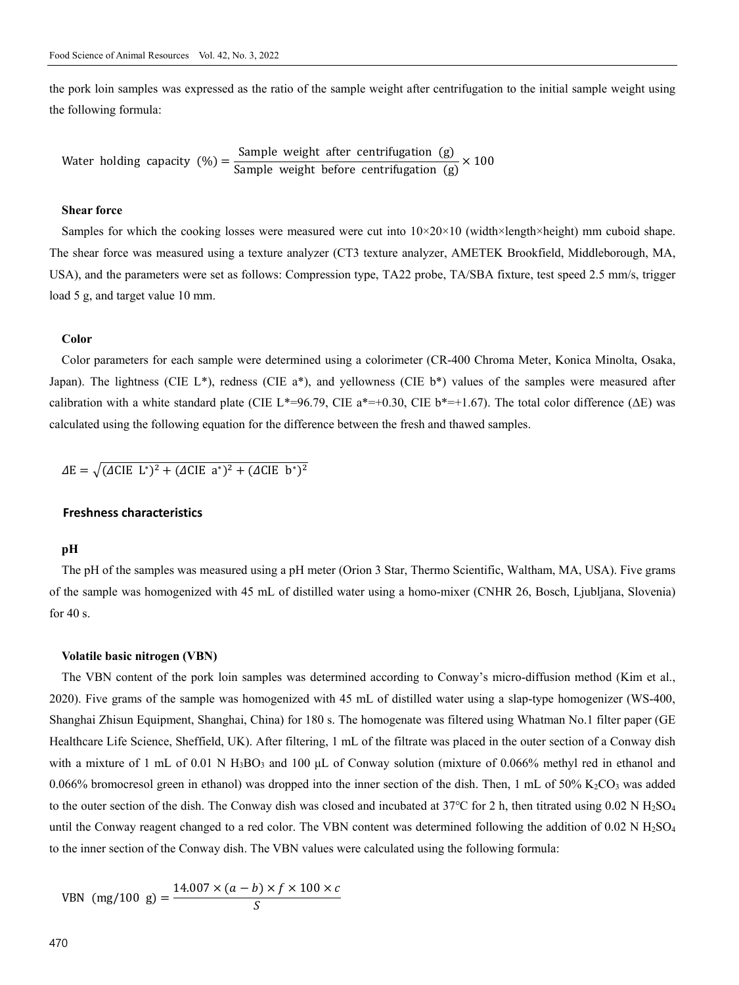the pork loin samples was expressed as the ratio of the sample weight after centrifugation to the initial sample weight using the following formula:

Water holding capacity (%) =  $\frac{\text{Sample weight after centrifugation (g)}}{\text{Sample weight before centrifugation (g)}} \times 100$ 

#### **Shear force**

Samples for which the cooking losses were measured were cut into  $10\times20\times10$  (width×length×height) mm cuboid shape. The shear force was measured using a texture analyzer (CT3 texture analyzer, AMETEK Brookfield, Middleborough, MA, USA), and the parameters were set as follows: Compression type, TA22 probe, TA/SBA fixture, test speed 2.5 mm/s, trigger load 5 g, and target value 10 mm.

#### **Color**

Color parameters for each sample were determined using a colorimeter (CR-400 Chroma Meter, Konica Minolta, Osaka, Japan). The lightness (CIE L\*), redness (CIE a\*), and yellowness (CIE b\*) values of the samples were measured after calibration with a white standard plate (CIE L\*=96.79, CIE a\*=+0.30, CIE b\*=+1.67). The total color difference ( $\Delta E$ ) was calculated using the following equation for the difference between the fresh and thawed samples.

 $\Delta E = \sqrt{(\Delta CIE \ L^*)^2 + (\Delta CIE \ a^*)^2 + (\Delta CIE \ b^*)^2}$ 

#### **Freshness characteristics**

#### **pH**

The pH of the samples was measured using a pH meter (Orion 3 Star, Thermo Scientific, Waltham, MA, USA). Five grams of the sample was homogenized with 45 mL of distilled water using a homo-mixer (CNHR 26, Bosch, Ljubljana, Slovenia) for 40 s.

#### **Volatile basic nitrogen (VBN)**

The VBN content of the pork loin samples was determined according to Conway's micro-diffusion method (Kim et al., 2020). Five grams of the sample was homogenized with 45 mL of distilled water using a slap-type homogenizer (WS-400, Shanghai Zhisun Equipment, Shanghai, China) for 180 s. The homogenate was filtered using Whatman No.1 filter paper (GE Healthcare Life Science, Sheffield, UK). After filtering, 1 mL of the filtrate was placed in the outer section of a Conway dish with a mixture of 1 mL of 0.01 N  $H_3BO_3$  and 100 µL of Conway solution (mixture of 0.066% methyl red in ethanol and 0.066% bromocresol green in ethanol) was dropped into the inner section of the dish. Then, 1 mL of 50%  $K_2CO_3$  was added to the outer section of the dish. The Conway dish was closed and incubated at  $37^{\circ}$ C for 2 h, then titrated using 0.02 N H<sub>2</sub>SO<sub>4</sub> until the Conway reagent changed to a red color. The VBN content was determined following the addition of  $0.02 \text{ N H}_2\text{SO}_4$ to the inner section of the Conway dish. The VBN values were calculated using the following formula:

VBN (mg/100 g) = 
$$
\frac{14.007 \times (a - b) \times f \times 100 \times c}{S}
$$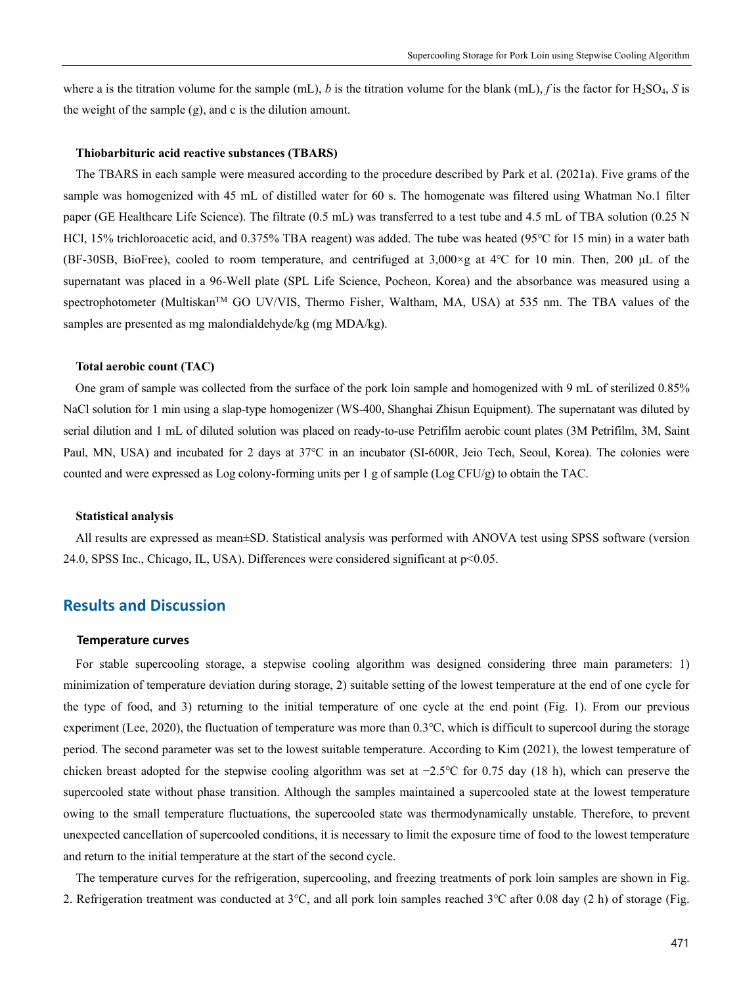where a is the titration volume for the sample (mL), *b* is the titration volume for the blank (mL), *f* is the factor for H2SO4, *S* is the weight of the sample (g), and c is the dilution amount.

#### **Thiobarbituric acid reactive substances (TBARS)**

The TBARS in each sample were measured according to the procedure described by Park et al. (2021a). Five grams of the sample was homogenized with 45 mL of distilled water for 60 s. The homogenate was filtered using Whatman No.1 filter paper (GE Healthcare Life Science). The filtrate (0.5 mL) was transferred to a test tube and 4.5 mL of TBA solution (0.25 N HCl, 15% trichloroacetic acid, and 0.375% TBA reagent) was added. The tube was heated (95℃ for 15 min) in a water bath (BF-30SB, BioFree), cooled to room temperature, and centrifuged at 3,000×g at 4℃ for 10 min. Then, 200 μL of the supernatant was placed in a 96-Well plate (SPL Life Science, Pocheon, Korea) and the absorbance was measured using a spectrophotometer (Multiskan<sup>TM</sup> GO UV/VIS, Thermo Fisher, Waltham, MA, USA) at 535 nm. The TBA values of the samples are presented as mg malondialdehyde/kg (mg MDA/kg).

#### **Total aerobic count (TAC)**

One gram of sample was collected from the surface of the pork loin sample and homogenized with 9 mL of sterilized 0.85% NaCl solution for 1 min using a slap-type homogenizer (WS-400, Shanghai Zhisun Equipment). The supernatant was diluted by serial dilution and 1 mL of diluted solution was placed on ready-to-use Petrifilm aerobic count plates (3M Petrifilm, 3M, Saint Paul, MN, USA) and incubated for 2 days at 37℃ in an incubator (SI-600R, Jeio Tech, Seoul, Korea). The colonies were counted and were expressed as Log colony-forming units per 1 g of sample (Log CFU/g) to obtain the TAC.

#### **Statistical analysis**

All results are expressed as mean±SD. Statistical analysis was performed with ANOVA test using SPSS software (version 24.0, SPSS Inc., Chicago, IL, USA). Differences were considered significant at p<0.05.

## **Results and Discussion**

#### **Temperature curves**

For stable supercooling storage, a stepwise cooling algorithm was designed considering three main parameters: 1) minimization of temperature deviation during storage, 2) suitable setting of the lowest temperature at the end of one cycle for the type of food, and 3) returning to the initial temperature of one cycle at the end point (Fig. 1). From our previous experiment (Lee, 2020), the fluctuation of temperature was more than 0.3℃, which is difficult to supercool during the storage period. The second parameter was set to the lowest suitable temperature. According to Kim (2021), the lowest temperature of chicken breast adopted for the stepwise cooling algorithm was set at −2.5℃ for 0.75 day (18 h), which can preserve the supercooled state without phase transition. Although the samples maintained a supercooled state at the lowest temperature owing to the small temperature fluctuations, the supercooled state was thermodynamically unstable. Therefore, to prevent unexpected cancellation of supercooled conditions, it is necessary to limit the exposure time of food to the lowest temperature and return to the initial temperature at the start of the second cycle.

The temperature curves for the refrigeration, supercooling, and freezing treatments of pork loin samples are shown in Fig. 2. Refrigeration treatment was conducted at 3℃, and all pork loin samples reached 3℃ after 0.08 day (2 h) of storage (Fig.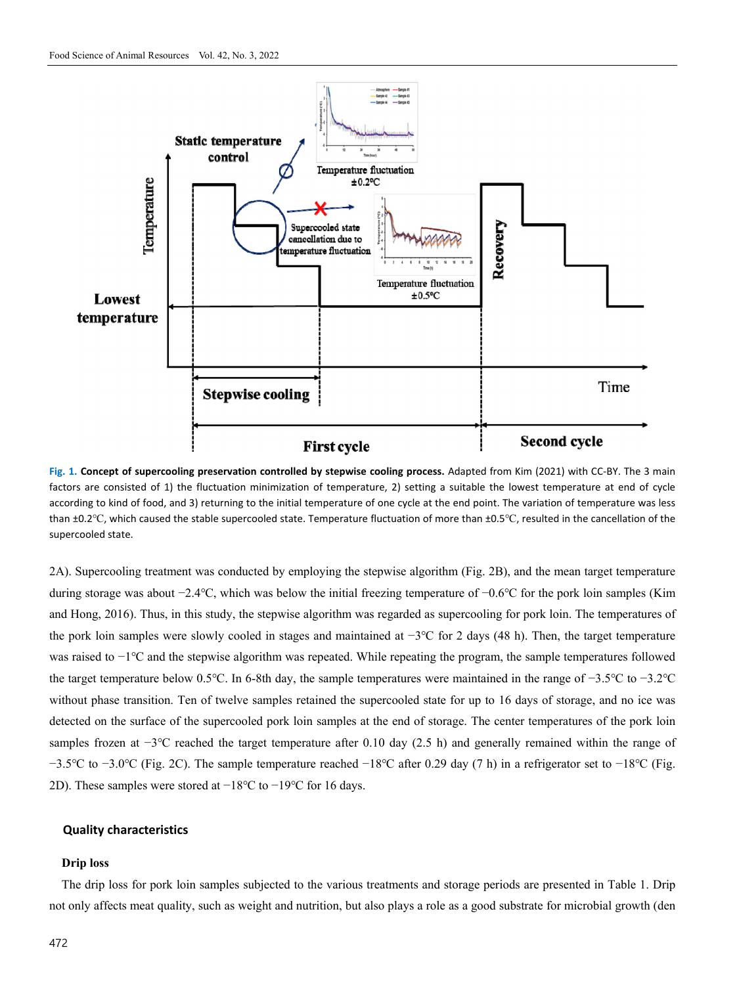

**Fig. 1. Concept of supercooling preservation controlled by stepwise cooling process.** Adapted from Kim (2021) with CC-BY. The 3 main factors are consisted of 1) the fluctuation minimization of temperature, 2) setting a suitable the lowest temperature at end of cycle according to kind of food, and 3) returning to the initial temperature of one cycle at the end point. The variation of temperature was less than ±0.2℃, which caused the stable supercooled state. Temperature fluctuation of more than ±0.5℃, resulted in the cancellation of the supercooled state.

2A). Supercooling treatment was conducted by employing the stepwise algorithm (Fig. 2B), and the mean target temperature during storage was about −2.4℃, which was below the initial freezing temperature of −0.6℃ for the pork loin samples (Kim and Hong, 2016). Thus, in this study, the stepwise algorithm was regarded as supercooling for pork loin. The temperatures of the pork loin samples were slowly cooled in stages and maintained at −3℃ for 2 days (48 h). Then, the target temperature was raised to −1℃ and the stepwise algorithm was repeated. While repeating the program, the sample temperatures followed the target temperature below 0.5℃. In 6-8th day, the sample temperatures were maintained in the range of −3.5℃ to −3.2℃ without phase transition. Ten of twelve samples retained the supercooled state for up to 16 days of storage, and no ice was detected on the surface of the supercooled pork loin samples at the end of storage. The center temperatures of the pork loin samples frozen at −3<sup>°</sup>C reached the target temperature after 0.10 day (2.5 h) and generally remained within the range of −3.5℃ to −3.0℃ (Fig. 2C). The sample temperature reached −18℃ after 0.29 day (7 h) in a refrigerator set to −18℃ (Fig. 2D). These samples were stored at −18℃ to −19℃ for 16 days.

#### **Quality characteristics**

#### **Drip loss**

The drip loss for pork loin samples subjected to the various treatments and storage periods are presented in Table 1. Drip not only affects meat quality, such as weight and nutrition, but also plays a role as a good substrate for microbial growth (den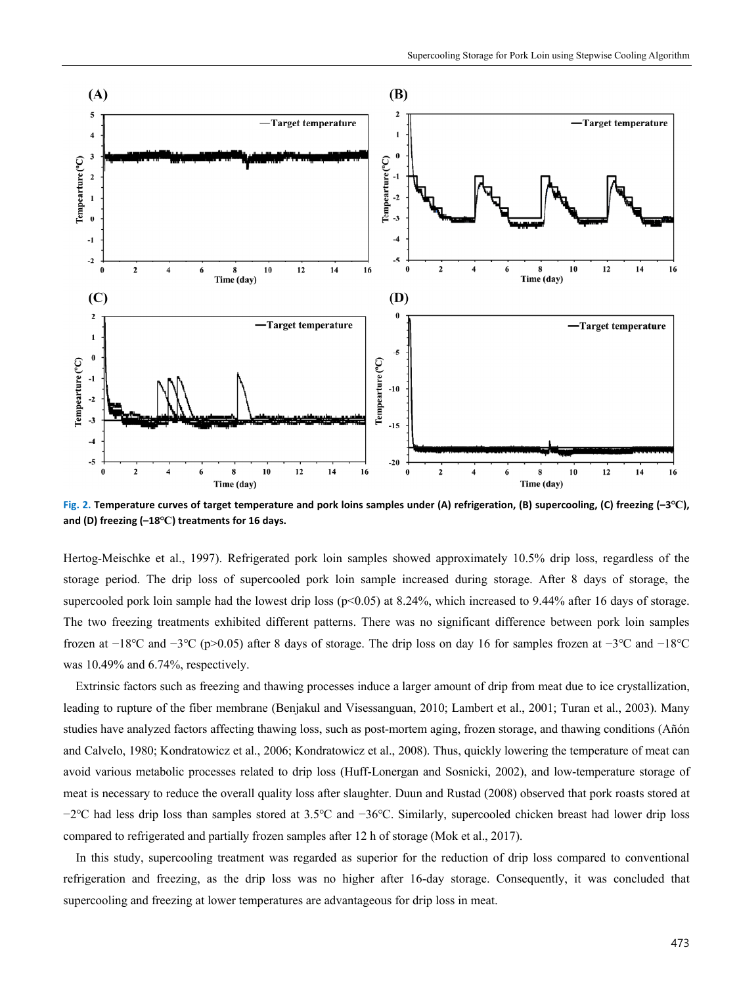

**Fig. 2. Temperature curves of target temperature and pork loins samples under (A) refrigeration, (B) supercooling, (C) freezing (–3℃), and (D) freezing (–18℃) treatments for 16 days.** 

Hertog-Meischke et al., 1997). Refrigerated pork loin samples showed approximately 10.5% drip loss, regardless of the storage period. The drip loss of supercooled pork loin sample increased during storage. After 8 days of storage, the supercooled pork loin sample had the lowest drip loss  $(p<0.05)$  at 8.24%, which increased to 9.44% after 16 days of storage. The two freezing treatments exhibited different patterns. There was no significant difference between pork loin samples frozen at −18℃ and −3℃ (p>0.05) after 8 days of storage. The drip loss on day 16 for samples frozen at −3℃ and −18℃ was 10.49% and 6.74%, respectively.

Extrinsic factors such as freezing and thawing processes induce a larger amount of drip from meat due to ice crystallization, leading to rupture of the fiber membrane (Benjakul and Visessanguan, 2010; Lambert et al., 2001; Turan et al., 2003). Many studies have analyzed factors affecting thawing loss, such as post-mortem aging, frozen storage, and thawing conditions (Añón and Calvelo, 1980; Kondratowicz et al., 2006; Kondratowicz et al., 2008). Thus, quickly lowering the temperature of meat can avoid various metabolic processes related to drip loss (Huff-Lonergan and Sosnicki, 2002), and low-temperature storage of meat is necessary to reduce the overall quality loss after slaughter. Duun and Rustad (2008) observed that pork roasts stored at −2℃ had less drip loss than samples stored at 3.5℃ and −36℃. Similarly, supercooled chicken breast had lower drip loss compared to refrigerated and partially frozen samples after 12 h of storage (Mok et al., 2017).

In this study, supercooling treatment was regarded as superior for the reduction of drip loss compared to conventional refrigeration and freezing, as the drip loss was no higher after 16-day storage. Consequently, it was concluded that supercooling and freezing at lower temperatures are advantageous for drip loss in meat.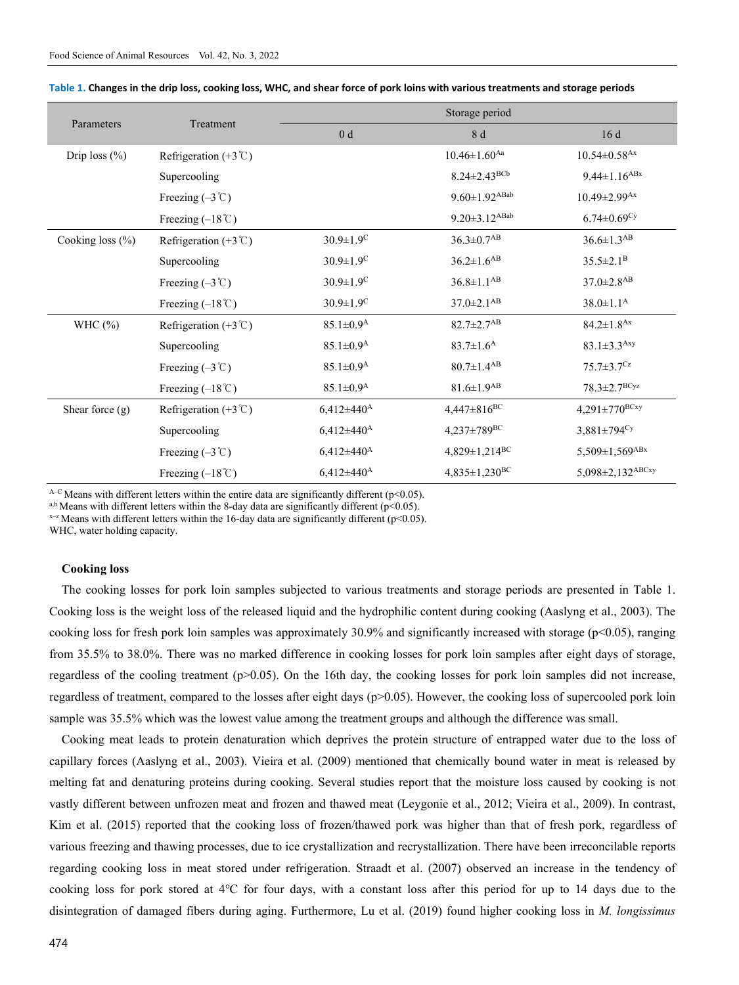| Parameters           | Treatment                            | Storage period              |                                 |                                  |
|----------------------|--------------------------------------|-----------------------------|---------------------------------|----------------------------------|
|                      |                                      | 0 <sub>d</sub>              | 8 d                             | 16d                              |
| Drip loss $(\% )$    | Refrigeration $(+3^{\circ}\text{C})$ |                             | $10.46 \pm 1.60$ <sup>Aa</sup>  | $10.54 \pm 0.58$ <sup>Ax</sup>   |
|                      | Supercooling                         |                             | $8.24 \pm 2.43^{BCb}$           | $9.44 \pm 1.16$ <sup>ABx</sup>   |
|                      | Freezing $(-3 \degree C)$            |                             | $9.60 \pm 1.92$ <sup>ABab</sup> | $10.49 \pm 2.99$ <sup>Ax</sup>   |
|                      | Freezing $(-18^{\circ}\text{C})$     |                             | $9.20 \pm 3.12$ <sup>ABab</sup> | $6.74 \pm 0.69$ <sup>Cy</sup>    |
| Cooking loss $(\% )$ | Refrigeration $(+3^{\circ}\text{C})$ | $30.9 \pm 1.9$ <sup>C</sup> | $36.3 \pm 0.7$ <sup>AB</sup>    | $36.6 \pm 1.3$ <sup>AB</sup>     |
|                      | Supercooling                         | $30.9 \pm 1.9$ <sup>C</sup> | $36.2 \pm 1.6^{AB}$             | $35.5 \pm 2.1^B$                 |
|                      | Freezing $(-3 \degree C)$            | $30.9 \pm 1.9$ <sup>C</sup> | $36.8 \pm 1.1^{AB}$             | $37.0 \pm 2.8$ <sup>AB</sup>     |
|                      | Freezing $(-18^{\circ}\text{C})$     | $30.9 \pm 1.9$ <sup>C</sup> | $37.0 \pm 2.1$ <sup>AB</sup>    | $38.0 \pm 1.1^{\rm A}$           |
| WHC $(\%)$           | Refrigeration $(+3^{\circ}\text{C})$ | $85.1 \pm 0.9^{\rm A}$      | $82.7 \pm 2.7$ <sup>AB</sup>    | $84.2 \pm 1.8$ <sup>Ax</sup>     |
|                      | Supercooling                         | $85.1 \pm 0.9^{\rm A}$      | $83.7 \pm 1.6^{\rm A}$          | $83.1 \pm 3.3$ <sup>Axy</sup>    |
|                      | Freezing $(-3 \degree C)$            | $85.1 \pm 0.9^{\rm A}$      | $80.7 \pm 1.4^{AB}$             | $75.7 \pm 3.7$ <sup>Cz</sup>     |
|                      | Freezing $(-18^{\circ}\text{C})$     | $85.1 \pm 0.9^{\rm A}$      | $81.6 \pm 1.9$ <sup>AB</sup>    | $78.3 \pm 2.7^{BCyz}$            |
| Shear force $(g)$    | Refrigeration $(+3^{\circ}C)$        | $6,412\pm440^{\rm A}$       | $4,447 \pm 816^{\rm BC}$        | $4,291 \pm 770^{BCxy}$           |
|                      | Supercooling                         | $6,412\pm440^{\rm A}$       | $4,237 \pm 789^{\rm BC}$        | $3,881 \pm 794$ <sup>Cy</sup>    |
|                      | Freezing $(-3 \degree C)$            | $6,412 \pm 440^{\rm A}$     | 4,829±1,214 <sup>BC</sup>       | $5,509 \pm 1,569$ <sup>ABx</sup> |
|                      | Freezing $(-18^{\circ}\text{C})$     | $6,412 \pm 440^{\rm A}$     | $4,835 \pm 1,230$ <sup>BC</sup> | 5,098±2,132ABCxy                 |

| Table 1. Changes in the drip loss, cooking loss, WHC, and shear force of pork loins with various treatments and storage periods |  |  |  |
|---------------------------------------------------------------------------------------------------------------------------------|--|--|--|
|---------------------------------------------------------------------------------------------------------------------------------|--|--|--|

A–C Means with different letters within the entire data are significantly different (p<0.05).<br>a,b Means with different letters within the 8-day data are significantly different (p<0.05).

 $x$ <sup>-z</sup> Means with different letters within the 16-day data are significantly different (p<0.05).

WHC, water holding capacity.

#### **Cooking loss**

The cooking losses for pork loin samples subjected to various treatments and storage periods are presented in Table 1. Cooking loss is the weight loss of the released liquid and the hydrophilic content during cooking (Aaslyng et al., 2003). The cooking loss for fresh pork loin samples was approximately 30.9% and significantly increased with storage ( $p<0.05$ ), ranging from 35.5% to 38.0%. There was no marked difference in cooking losses for pork loin samples after eight days of storage, regardless of the cooling treatment  $(p>0.05)$ . On the 16th day, the cooking losses for pork loin samples did not increase, regardless of treatment, compared to the losses after eight days (p>0.05). However, the cooking loss of supercooled pork loin sample was 35.5% which was the lowest value among the treatment groups and although the difference was small.

Cooking meat leads to protein denaturation which deprives the protein structure of entrapped water due to the loss of capillary forces (Aaslyng et al., 2003). Vieira et al. (2009) mentioned that chemically bound water in meat is released by melting fat and denaturing proteins during cooking. Several studies report that the moisture loss caused by cooking is not vastly different between unfrozen meat and frozen and thawed meat (Leygonie et al., 2012; Vieira et al., 2009). In contrast, Kim et al. (2015) reported that the cooking loss of frozen/thawed pork was higher than that of fresh pork, regardless of various freezing and thawing processes, due to ice crystallization and recrystallization. There have been irreconcilable reports regarding cooking loss in meat stored under refrigeration. Straadt et al. (2007) observed an increase in the tendency of cooking loss for pork stored at 4℃ for four days, with a constant loss after this period for up to 14 days due to the disintegration of damaged fibers during aging. Furthermore, Lu et al. (2019) found higher cooking loss in *M. longissimus*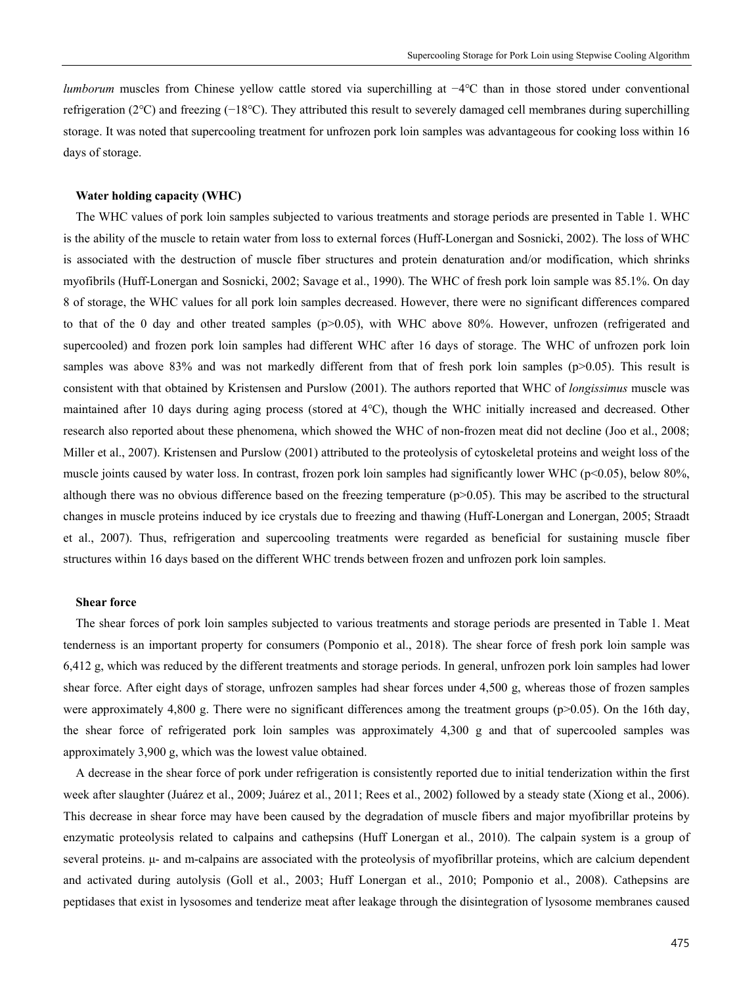*lumborum* muscles from Chinese yellow cattle stored via superchilling at −4°C than in those stored under conventional refrigeration (2℃) and freezing (−18℃). They attributed this result to severely damaged cell membranes during superchilling storage. It was noted that supercooling treatment for unfrozen pork loin samples was advantageous for cooking loss within 16 days of storage.

#### **Water holding capacity (WHC)**

The WHC values of pork loin samples subjected to various treatments and storage periods are presented in Table 1. WHC is the ability of the muscle to retain water from loss to external forces (Huff-Lonergan and Sosnicki, 2002). The loss of WHC is associated with the destruction of muscle fiber structures and protein denaturation and/or modification, which shrinks myofibrils (Huff-Lonergan and Sosnicki, 2002; Savage et al., 1990). The WHC of fresh pork loin sample was 85.1%. On day 8 of storage, the WHC values for all pork loin samples decreased. However, there were no significant differences compared to that of the 0 day and other treated samples  $(p>0.05)$ , with WHC above 80%. However, unfrozen (refrigerated and supercooled) and frozen pork loin samples had different WHC after 16 days of storage. The WHC of unfrozen pork loin samples was above 83% and was not markedly different from that of fresh pork loin samples (p>0.05). This result is consistent with that obtained by Kristensen and Purslow (2001). The authors reported that WHC of *longissimus* muscle was maintained after 10 days during aging process (stored at 4℃), though the WHC initially increased and decreased. Other research also reported about these phenomena, which showed the WHC of non-frozen meat did not decline (Joo et al., 2008; Miller et al., 2007). Kristensen and Purslow (2001) attributed to the proteolysis of cytoskeletal proteins and weight loss of the muscle joints caused by water loss. In contrast, frozen pork loin samples had significantly lower WHC (p<0.05), below 80%, although there was no obvious difference based on the freezing temperature ( $p$ >0.05). This may be ascribed to the structural changes in muscle proteins induced by ice crystals due to freezing and thawing (Huff-Lonergan and Lonergan, 2005; Straadt et al., 2007). Thus, refrigeration and supercooling treatments were regarded as beneficial for sustaining muscle fiber structures within 16 days based on the different WHC trends between frozen and unfrozen pork loin samples.

#### **Shear force**

The shear forces of pork loin samples subjected to various treatments and storage periods are presented in Table 1. Meat tenderness is an important property for consumers (Pomponio et al., 2018). The shear force of fresh pork loin sample was 6,412 g, which was reduced by the different treatments and storage periods. In general, unfrozen pork loin samples had lower shear force. After eight days of storage, unfrozen samples had shear forces under 4,500 g, whereas those of frozen samples were approximately 4,800 g. There were no significant differences among the treatment groups ( $p$ >0.05). On the 16th day, the shear force of refrigerated pork loin samples was approximately 4,300 g and that of supercooled samples was approximately 3,900 g, which was the lowest value obtained.

A decrease in the shear force of pork under refrigeration is consistently reported due to initial tenderization within the first week after slaughter (Juárez et al., 2009; Juárez et al., 2011; Rees et al., 2002) followed by a steady state (Xiong et al., 2006). This decrease in shear force may have been caused by the degradation of muscle fibers and major myofibrillar proteins by enzymatic proteolysis related to calpains and cathepsins (Huff Lonergan et al., 2010). The calpain system is a group of several proteins. μ- and m-calpains are associated with the proteolysis of myofibrillar proteins, which are calcium dependent and activated during autolysis (Goll et al., 2003; Huff Lonergan et al., 2010; Pomponio et al., 2008). Cathepsins are peptidases that exist in lysosomes and tenderize meat after leakage through the disintegration of lysosome membranes caused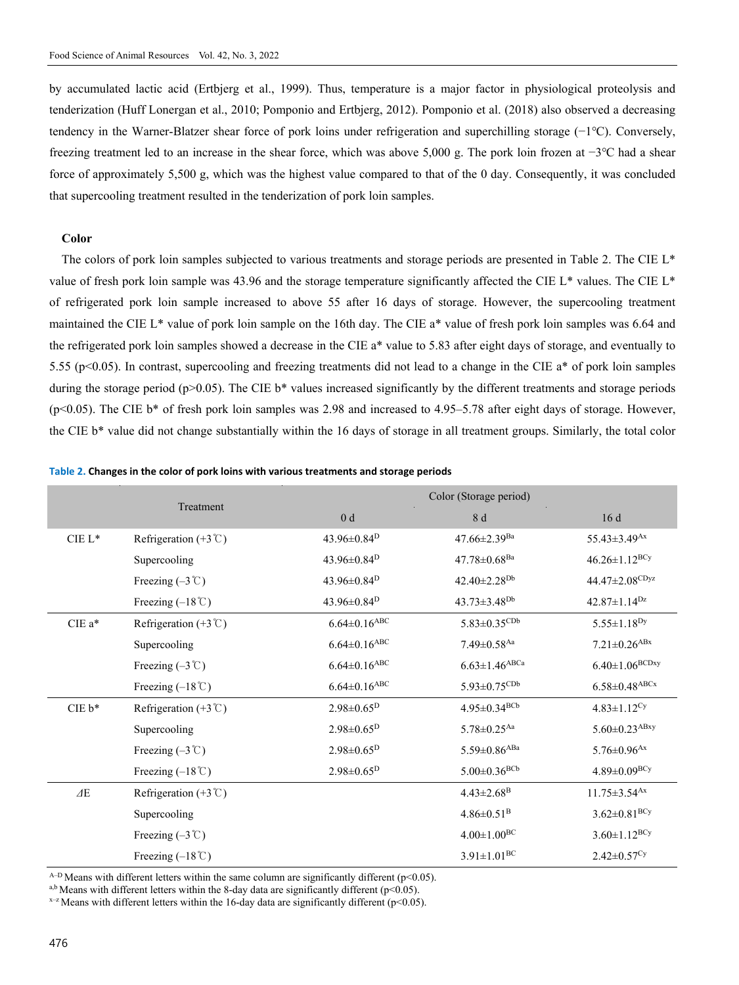by accumulated lactic acid (Ertbjerg et al., 1999). Thus, temperature is a major factor in physiological proteolysis and tenderization (Huff Lonergan et al., 2010; Pomponio and Ertbjerg, 2012). Pomponio et al. (2018) also observed a decreasing tendency in the Warner-Blatzer shear force of pork loins under refrigeration and superchilling storage (−1℃). Conversely, freezing treatment led to an increase in the shear force, which was above 5,000 g. The pork loin frozen at −3℃ had a shear force of approximately 5,500 g, which was the highest value compared to that of the 0 day. Consequently, it was concluded that supercooling treatment resulted in the tenderization of pork loin samples.

#### **Color**

The colors of pork loin samples subjected to various treatments and storage periods are presented in Table 2. The CIE L<sup>\*</sup> value of fresh pork loin sample was 43.96 and the storage temperature significantly affected the CIE L\* values. The CIE L\* of refrigerated pork loin sample increased to above 55 after 16 days of storage. However, the supercooling treatment maintained the CIE L\* value of pork loin sample on the 16th day. The CIE a\* value of fresh pork loin samples was 6.64 and the refrigerated pork loin samples showed a decrease in the CIE a\* value to 5.83 after eight days of storage, and eventually to 5.55 (p<0.05). In contrast, supercooling and freezing treatments did not lead to a change in the CIE a\* of pork loin samples during the storage period ( $p$ >0.05). The CIE b\* values increased significantly by the different treatments and storage periods  $(p<0.05)$ . The CIE b<sup>\*</sup> of fresh pork loin samples was 2.98 and increased to 4.95–5.78 after eight days of storage. However, the CIE b\* value did not change substantially within the 16 days of storage in all treatment groups. Similarly, the total color

|           |                                      | Color (Storage period)         |                                 |                                 |
|-----------|--------------------------------------|--------------------------------|---------------------------------|---------------------------------|
| Treatment |                                      | 0 <sub>d</sub>                 | 8 d                             | 16d                             |
| $CIE L*$  | Refrigeration $(+3^{\circ}C)$        | 43.96 $\pm$ 0.84 <sup>D</sup>  | $47.66 \pm 2.39$ <sup>Ba</sup>  | $55.43 \pm 3.49$ <sup>Ax</sup>  |
|           | Supercooling                         | 43.96±0.84 <sup>D</sup>        | $47.78 \pm 0.68$ <sup>Ba</sup>  | $46.26 \pm 1.12^{BCy}$          |
|           | Freezing $(-3^{\circ}\mathrm{C})$    | 43.96 $\pm$ 0.84 <sup>D</sup>  | $42.40 \pm 2.28^{Db}$           | 44.47±2.08 <sup>CDyz</sup>      |
|           | Freezing $(-18^{\circ}\text{C})$     | 43.96±0.84 <sup>D</sup>        | $43.73 \pm 3.48$ <sup>Db</sup>  | $42.87 \pm 1.14^{Dz}$           |
| $CIEa*$   | Refrigeration $(+3^{\circ}C)$        | $6.64\pm0.16^\mathrm{ABC}$     | $5.83 \pm 0.35^{\rm CDb}$       | $5.55 \pm 1.18^{Dy}$            |
|           | Supercooling                         | $6.64 \pm 0.16$ <sup>ABC</sup> | $7.49 \pm 0.58$ <sup>Aa</sup>   | $7.21 \pm 0.26$ <sup>ABx</sup>  |
|           | Freezing $(-3 \degree C)$            | $6.64 \pm 0.16$ <sup>ABC</sup> | $6.63 \pm 1.46$ <sup>ABCa</sup> | $6.40{\pm}1.06^{BCDay}$         |
|           | Freezing $(-18^{\circ}\text{C})$     | $6.64 \pm 0.16$ <sup>ABC</sup> | $5.93 \pm 0.75^{\rm CDb}$       | $6.58 \pm 0.48$ <sup>ABCx</sup> |
| $CIE b*$  | Refrigeration $(+3^{\circ}\text{C})$ | $2.98 \pm 0.65^D$              | $4.95 \pm 0.34$ <sup>BCb</sup>  | $4.83 \pm 1.12$ <sup>Cy</sup>   |
|           | Supercooling                         | $2.98 \pm 0.65^D$              | $5.78 \pm 0.25$ <sup>Aa</sup>   | $5.60 \pm 0.23$ <sup>ABxy</sup> |
|           | Freezing $(-3^{\circ}\mathrm{C})$    | $2.98 \pm 0.65^D$              | $5.59 \pm 0.86$ <sup>ABa</sup>  | $5.76 \pm 0.96$ <sup>Ax</sup>   |
|           | Freezing $(-18^{\circ}\text{C})$     | $2.98 \pm 0.65^D$              | $5.00 \pm 0.36$ <sup>BCb</sup>  | $4.89 \pm 0.09^{BCy}$           |
| ΔE        | Refrigeration $(+3^{\circ}\text{C})$ |                                | $4.43 \pm 2.68$ <sup>B</sup>    | $11.75 \pm 3.54$ <sup>Ax</sup>  |
|           | Supercooling                         |                                | $4.86 \pm 0.51^{\rm B}$         | $3.62 \pm 0.81$ <sup>BCy</sup>  |
|           | Freezing $(-3 \degree C)$            |                                | $4.00 \pm 1.00^{\rm BC}$        | $3.60 \pm 1.12^{BCy}$           |
|           | Freezing $(-18^{\circ}\text{C})$     |                                | $3.91 \pm 1.01^{BC}$            | $2.42 \pm 0.57$ <sup>Cy</sup>   |

|  | Table 2. Changes in the color of pork loins with various treatments and storage periods |  |
|--|-----------------------------------------------------------------------------------------|--|
|--|-----------------------------------------------------------------------------------------|--|

 $A-D$  Means with different letters within the same column are significantly different ( $p<0.05$ ).

a,b Means with different letters within the 8-day data are significantly different (p<0.05).  $x-z$  Means with different letters within the 16-day data are significantly different (p<0.05).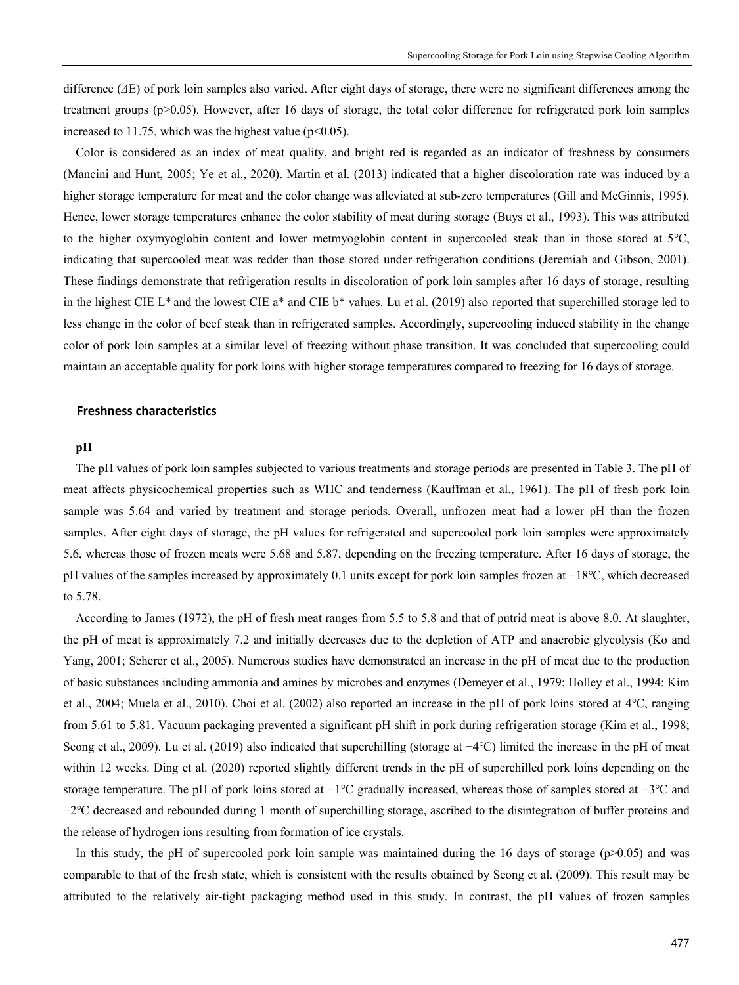difference (*Δ*E) of pork loin samples also varied. After eight days of storage, there were no significant differences among the treatment groups (p>0.05). However, after 16 days of storage, the total color difference for refrigerated pork loin samples increased to 11.75, which was the highest value ( $p<0.05$ ).

Color is considered as an index of meat quality, and bright red is regarded as an indicator of freshness by consumers (Mancini and Hunt, 2005; Ye et al., 2020). Martin et al. (2013) indicated that a higher discoloration rate was induced by a higher storage temperature for meat and the color change was alleviated at sub-zero temperatures (Gill and McGinnis, 1995). Hence, lower storage temperatures enhance the color stability of meat during storage (Buys et al., 1993). This was attributed to the higher oxymyoglobin content and lower metmyoglobin content in supercooled steak than in those stored at 5℃, indicating that supercooled meat was redder than those stored under refrigeration conditions (Jeremiah and Gibson, 2001). These findings demonstrate that refrigeration results in discoloration of pork loin samples after 16 days of storage, resulting in the highest CIE L<sup>\*</sup> and the lowest CIE a<sup>\*</sup> and CIE b<sup>\*</sup> values. Lu et al. (2019) also reported that superchilled storage led to less change in the color of beef steak than in refrigerated samples. Accordingly, supercooling induced stability in the change color of pork loin samples at a similar level of freezing without phase transition. It was concluded that supercooling could maintain an acceptable quality for pork loins with higher storage temperatures compared to freezing for 16 days of storage.

#### **Freshness characteristics**

#### **pH**

The pH values of pork loin samples subjected to various treatments and storage periods are presented in Table 3. The pH of meat affects physicochemical properties such as WHC and tenderness (Kauffman et al., 1961). The pH of fresh pork loin sample was 5.64 and varied by treatment and storage periods. Overall, unfrozen meat had a lower pH than the frozen samples. After eight days of storage, the pH values for refrigerated and supercooled pork loin samples were approximately 5.6, whereas those of frozen meats were 5.68 and 5.87, depending on the freezing temperature. After 16 days of storage, the pH values of the samples increased by approximately 0.1 units except for pork loin samples frozen at −18℃, which decreased to 5.78.

According to James (1972), the pH of fresh meat ranges from 5.5 to 5.8 and that of putrid meat is above 8.0. At slaughter, the pH of meat is approximately 7.2 and initially decreases due to the depletion of ATP and anaerobic glycolysis (Ko and Yang, 2001; Scherer et al., 2005). Numerous studies have demonstrated an increase in the pH of meat due to the production of basic substances including ammonia and amines by microbes and enzymes (Demeyer et al., 1979; Holley et al., 1994; Kim et al., 2004; Muela et al., 2010). Choi et al. (2002) also reported an increase in the pH of pork loins stored at 4℃, ranging from 5.61 to 5.81. Vacuum packaging prevented a significant pH shift in pork during refrigeration storage (Kim et al., 1998; Seong et al., 2009). Lu et al. (2019) also indicated that superchilling (storage at −4℃) limited the increase in the pH of meat within 12 weeks. Ding et al. (2020) reported slightly different trends in the pH of superchilled pork loins depending on the storage temperature. The pH of pork loins stored at −1℃ gradually increased, whereas those of samples stored at −3℃ and −2℃ decreased and rebounded during 1 month of superchilling storage, ascribed to the disintegration of buffer proteins and the release of hydrogen ions resulting from formation of ice crystals.

In this study, the pH of supercooled pork loin sample was maintained during the 16 days of storage ( $p>0.05$ ) and was comparable to that of the fresh state, which is consistent with the results obtained by Seong et al. (2009). This result may be attributed to the relatively air-tight packaging method used in this study. In contrast, the pH values of frozen samples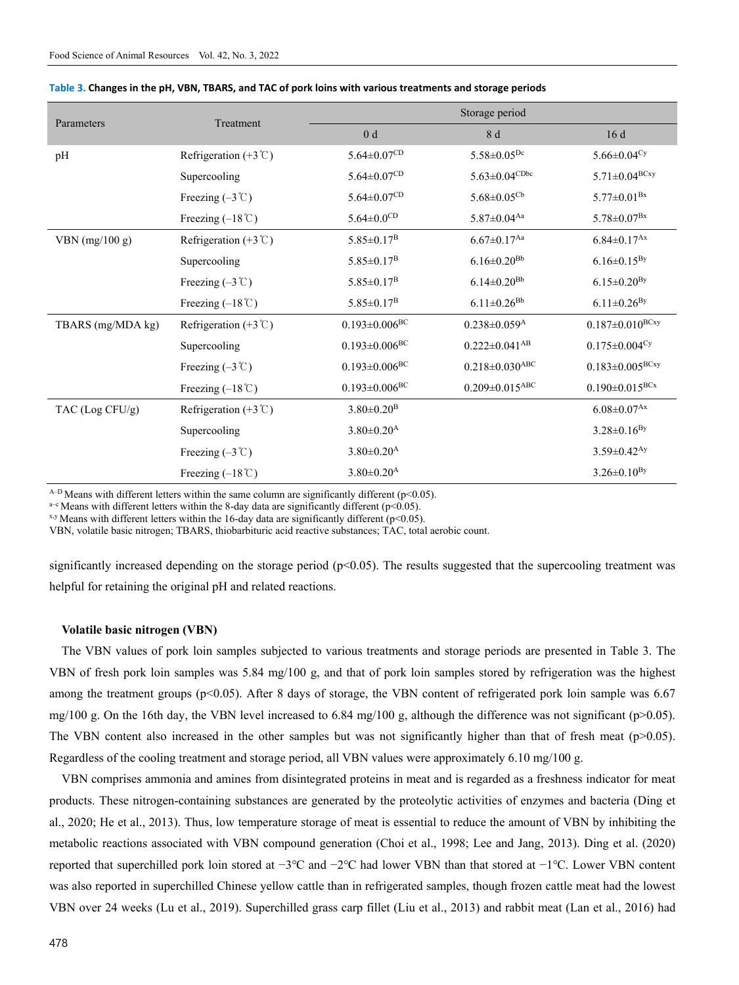| Parameters        | Treatment                              | Storage period                  |                                  |                                 |
|-------------------|----------------------------------------|---------------------------------|----------------------------------|---------------------------------|
|                   |                                        | 0 <sub>d</sub>                  | 8 d                              | 16d                             |
| pH                | Refrigeration $(+3^{\circ}\mathrm{C})$ | $5.64 \pm 0.07$ CD              | $5.58 \pm 0.05^{Dc}$             | 5.66 $\pm$ 0.04 <sup>Cy</sup>   |
|                   | Supercooling                           | $5.64 \pm 0.07$ CD              | $5.63 \pm 0.04$ CDbc             | $5.71 \pm 0.04$ <sup>BCxy</sup> |
|                   | Freezing $(-3 \degree C)$              | $5.64 \pm 0.07^{CD}$            | $5.68 \pm 0.05^{Cb}$             | $5.77 \pm 0.01^{Bx}$            |
|                   | Freezing $(-18^{\circ}\text{C})$       | $5.64 \pm 0.0$ CD               | $5.87 \pm 0.04$ <sup>Aa</sup>    | $5.78 \pm 0.07^{Bx}$            |
| VBN $(mg/100 g)$  | Refrigeration $(+3^{\circ}C)$          | $5.85 \pm 0.17^{\rm B}$         | $6.67 \pm 0.17$ <sup>Aa</sup>    | $6.84 \pm 0.17$ <sup>Ax</sup>   |
|                   | Supercooling                           | $5.85 \pm 0.17$ <sup>B</sup>    | $6.16 \pm 0.20$ <sup>Bb</sup>    | $6.16 \pm 0.15^{By}$            |
|                   | Freezing $(-3^{\circ}\mathrm{C})$      | $5.85 \pm 0.17$ <sup>B</sup>    | $6.14 \pm 0.20$ <sup>Bb</sup>    | $6.15 \pm 0.20^{By}$            |
|                   | Freezing $(-18^{\circ}\text{C})$       | $5.85 \pm 0.17^{\rm B}$         | $6.11 \pm 0.26^{Bb}$             | $6.11 \pm 0.26^{By}$            |
| TBARS (mg/MDA kg) | Refrigeration $(+3^{\circ}C)$          | $0.193 \pm 0.006$ <sup>BC</sup> | $0.238 \pm 0.059$ <sup>A</sup>   | $0.187 \pm 0.010^{BCxy}$        |
|                   | Supercooling                           | $0.193 \pm 0.006^{BC}$          | $0.222 \pm 0.041$ <sup>AB</sup>  | $0.175 \pm 0.004$ <sup>Cy</sup> |
|                   | Freezing $(-3^{\circ}\mathrm{C})$      | $0.193 \pm 0.006^{BC}$          | $0.218 \pm 0.030$ <sup>ABC</sup> | $0.183 \pm 0.005^{BCxy}$        |
|                   | Freezing $(-18^{\circ}\text{C})$       | $0.193 \pm 0.006^{\rm BC}$      | $0.209 \pm 0.015$ <sup>ABC</sup> | $0.190 \pm 0.015^{BCx}$         |
| TAC $(Log CFU/g)$ | Refrigeration $(+3^{\circ}C)$          | $3.80 \pm 0.20$ <sup>B</sup>    |                                  | $6.08 \pm 0.07$ <sup>Ax</sup>   |
|                   | Supercooling                           | $3.80 \pm 0.20$ <sup>A</sup>    |                                  | $3.28 \pm 0.16^{By}$            |
|                   | Freezing $(-3 \degree C)$              | $3.80 \pm 0.20$ <sup>A</sup>    |                                  | $3.59 \pm 0.42$ <sup>Ay</sup>   |
|                   | Freezing $(-18^{\circ}\text{C})$       | $3.80 \pm 0.20$ <sup>A</sup>    |                                  | $3.26 \pm 0.10^{By}$            |

#### **Table 3. Changes in the pH, VBN, TBARS, and TAC of pork loins with various treatments and storage periods**

 $A-D$  Means with different letters within the same column are significantly different ( $p<0.05$ ).

<sup>a-c</sup> Means with different letters within the 8-day data are significantly different (p<0.05). *x,y* Means with different letters within the 16-day data are significantly different (p<0.05).

VBN, volatile basic nitrogen; TBARS, thiobarbituric acid reactive substances; TAC, total aerobic count.

significantly increased depending on the storage period ( $p<0.05$ ). The results suggested that the supercooling treatment was helpful for retaining the original pH and related reactions.

#### **Volatile basic nitrogen (VBN)**

The VBN values of pork loin samples subjected to various treatments and storage periods are presented in Table 3. The VBN of fresh pork loin samples was 5.84 mg/100 g, and that of pork loin samples stored by refrigeration was the highest among the treatment groups (p<0.05). After 8 days of storage, the VBN content of refrigerated pork loin sample was 6.67 mg/100 g. On the 16th day, the VBN level increased to 6.84 mg/100 g, although the difference was not significant (p>0.05). The VBN content also increased in the other samples but was not significantly higher than that of fresh meat ( $p$ >0.05). Regardless of the cooling treatment and storage period, all VBN values were approximately 6.10 mg/100 g.

VBN comprises ammonia and amines from disintegrated proteins in meat and is regarded as a freshness indicator for meat products. These nitrogen-containing substances are generated by the proteolytic activities of enzymes and bacteria (Ding et al., 2020; He et al., 2013). Thus, low temperature storage of meat is essential to reduce the amount of VBN by inhibiting the metabolic reactions associated with VBN compound generation (Choi et al., 1998; Lee and Jang, 2013). Ding et al. (2020) reported that superchilled pork loin stored at −3℃ and −2℃ had lower VBN than that stored at −1℃. Lower VBN content was also reported in superchilled Chinese yellow cattle than in refrigerated samples, though frozen cattle meat had the lowest VBN over 24 weeks (Lu et al., 2019). Superchilled grass carp fillet (Liu et al., 2013) and rabbit meat (Lan et al., 2016) had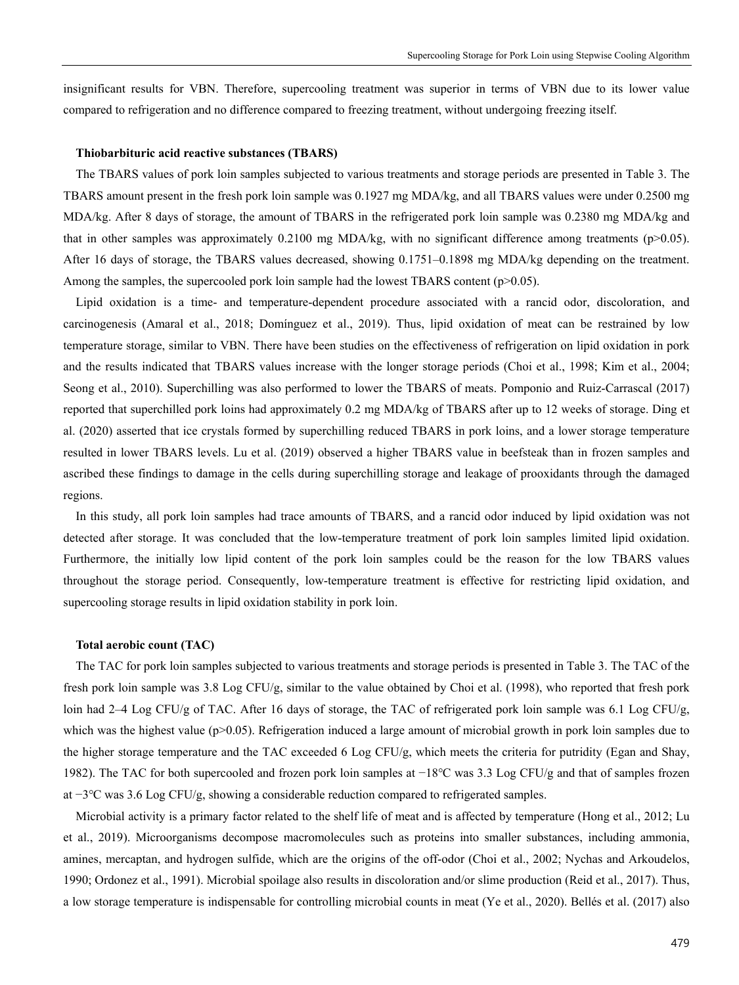insignificant results for VBN. Therefore, supercooling treatment was superior in terms of VBN due to its lower value compared to refrigeration and no difference compared to freezing treatment, without undergoing freezing itself.

#### **Thiobarbituric acid reactive substances (TBARS)**

The TBARS values of pork loin samples subjected to various treatments and storage periods are presented in Table 3. The TBARS amount present in the fresh pork loin sample was 0.1927 mg MDA/kg, and all TBARS values were under 0.2500 mg MDA/kg. After 8 days of storage, the amount of TBARS in the refrigerated pork loin sample was 0.2380 mg MDA/kg and that in other samples was approximately 0.2100 mg MDA/kg, with no significant difference among treatments ( $p>0.05$ ). After 16 days of storage, the TBARS values decreased, showing 0.1751–0.1898 mg MDA/kg depending on the treatment. Among the samples, the supercooled pork loin sample had the lowest TBARS content ( $p>0.05$ ).

Lipid oxidation is a time- and temperature-dependent procedure associated with a rancid odor, discoloration, and carcinogenesis (Amaral et al., 2018; Domínguez et al., 2019). Thus, lipid oxidation of meat can be restrained by low temperature storage, similar to VBN. There have been studies on the effectiveness of refrigeration on lipid oxidation in pork and the results indicated that TBARS values increase with the longer storage periods (Choi et al., 1998; Kim et al., 2004; Seong et al., 2010). Superchilling was also performed to lower the TBARS of meats. Pomponio and Ruiz-Carrascal (2017) reported that superchilled pork loins had approximately 0.2 mg MDA/kg of TBARS after up to 12 weeks of storage. Ding et al. (2020) asserted that ice crystals formed by superchilling reduced TBARS in pork loins, and a lower storage temperature resulted in lower TBARS levels. Lu et al. (2019) observed a higher TBARS value in beefsteak than in frozen samples and ascribed these findings to damage in the cells during superchilling storage and leakage of prooxidants through the damaged regions.

In this study, all pork loin samples had trace amounts of TBARS, and a rancid odor induced by lipid oxidation was not detected after storage. It was concluded that the low-temperature treatment of pork loin samples limited lipid oxidation. Furthermore, the initially low lipid content of the pork loin samples could be the reason for the low TBARS values throughout the storage period. Consequently, low-temperature treatment is effective for restricting lipid oxidation, and supercooling storage results in lipid oxidation stability in pork loin.

#### **Total aerobic count (TAC)**

The TAC for pork loin samples subjected to various treatments and storage periods is presented in Table 3. The TAC of the fresh pork loin sample was 3.8 Log CFU/g, similar to the value obtained by Choi et al. (1998), who reported that fresh pork loin had 2–4 Log CFU/g of TAC. After 16 days of storage, the TAC of refrigerated pork loin sample was 6.1 Log CFU/g, which was the highest value ( $p$  $>$ 0.05). Refrigeration induced a large amount of microbial growth in pork loin samples due to the higher storage temperature and the TAC exceeded 6 Log CFU/g, which meets the criteria for putridity (Egan and Shay, 1982). The TAC for both supercooled and frozen pork loin samples at −18℃ was 3.3 Log CFU/g and that of samples frozen at −3℃ was 3.6 Log CFU/g, showing a considerable reduction compared to refrigerated samples.

Microbial activity is a primary factor related to the shelf life of meat and is affected by temperature (Hong et al., 2012; Lu et al., 2019). Microorganisms decompose macromolecules such as proteins into smaller substances, including ammonia, amines, mercaptan, and hydrogen sulfide, which are the origins of the off-odor (Choi et al., 2002; Nychas and Arkoudelos, 1990; Ordonez et al., 1991). Microbial spoilage also results in discoloration and/or slime production (Reid et al., 2017). Thus, a low storage temperature is indispensable for controlling microbial counts in meat (Ye et al., 2020). Bellés et al. (2017) also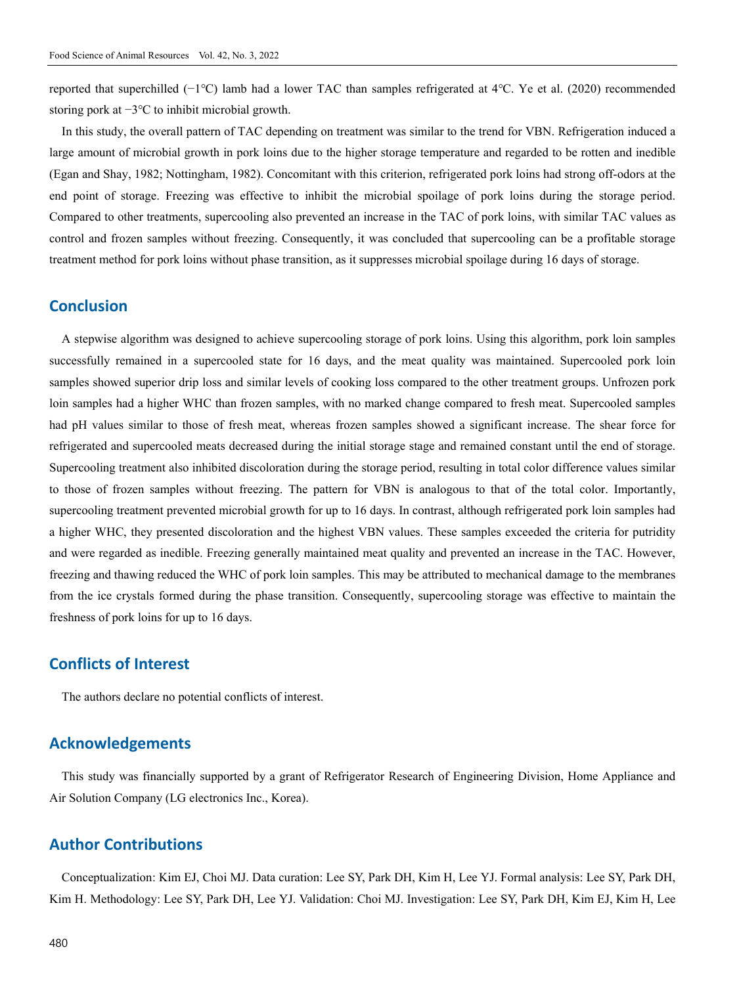reported that superchilled (−1℃) lamb had a lower TAC than samples refrigerated at 4℃. Ye et al. (2020) recommended storing pork at −3℃ to inhibit microbial growth.

In this study, the overall pattern of TAC depending on treatment was similar to the trend for VBN. Refrigeration induced a large amount of microbial growth in pork loins due to the higher storage temperature and regarded to be rotten and inedible (Egan and Shay, 1982; Nottingham, 1982). Concomitant with this criterion, refrigerated pork loins had strong off-odors at the end point of storage. Freezing was effective to inhibit the microbial spoilage of pork loins during the storage period. Compared to other treatments, supercooling also prevented an increase in the TAC of pork loins, with similar TAC values as control and frozen samples without freezing. Consequently, it was concluded that supercooling can be a profitable storage treatment method for pork loins without phase transition, as it suppresses microbial spoilage during 16 days of storage.

## **Conclusion**

A stepwise algorithm was designed to achieve supercooling storage of pork loins. Using this algorithm, pork loin samples successfully remained in a supercooled state for 16 days, and the meat quality was maintained. Supercooled pork loin samples showed superior drip loss and similar levels of cooking loss compared to the other treatment groups. Unfrozen pork loin samples had a higher WHC than frozen samples, with no marked change compared to fresh meat. Supercooled samples had pH values similar to those of fresh meat, whereas frozen samples showed a significant increase. The shear force for refrigerated and supercooled meats decreased during the initial storage stage and remained constant until the end of storage. Supercooling treatment also inhibited discoloration during the storage period, resulting in total color difference values similar to those of frozen samples without freezing. The pattern for VBN is analogous to that of the total color. Importantly, supercooling treatment prevented microbial growth for up to 16 days. In contrast, although refrigerated pork loin samples had a higher WHC, they presented discoloration and the highest VBN values. These samples exceeded the criteria for putridity and were regarded as inedible. Freezing generally maintained meat quality and prevented an increase in the TAC. However, freezing and thawing reduced the WHC of pork loin samples. This may be attributed to mechanical damage to the membranes from the ice crystals formed during the phase transition. Consequently, supercooling storage was effective to maintain the freshness of pork loins for up to 16 days.

## **Conflicts of Interest**

The authors declare no potential conflicts of interest.

## **Acknowledgements**

This study was financially supported by a grant of Refrigerator Research of Engineering Division, Home Appliance and Air Solution Company (LG electronics Inc., Korea).

## **Author Contributions**

Conceptualization: Kim EJ, Choi MJ. Data curation: Lee SY, Park DH, Kim H, Lee YJ. Formal analysis: Lee SY, Park DH, Kim H. Methodology: Lee SY, Park DH, Lee YJ. Validation: Choi MJ. Investigation: Lee SY, Park DH, Kim EJ, Kim H, Lee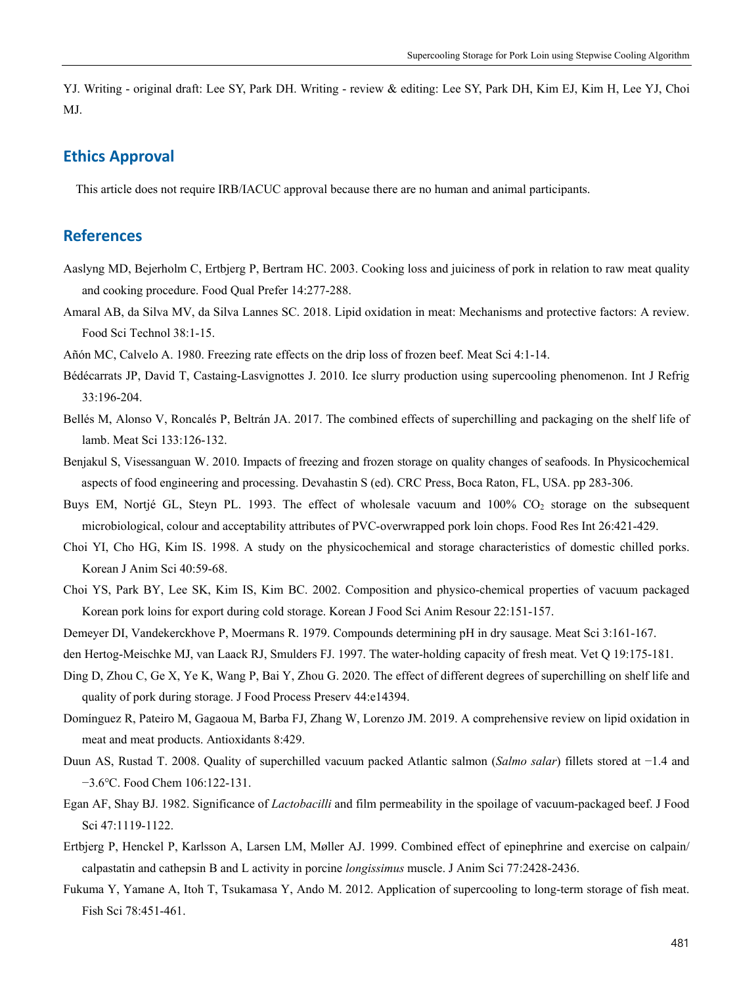YJ. Writing - original draft: Lee SY, Park DH. Writing - review & editing: Lee SY, Park DH, Kim EJ, Kim H, Lee YJ, Choi MJ.

## **Ethics Approval**

This article does not require IRB/IACUC approval because there are no human and animal participants.

## **References**

- Aaslyng MD, Bejerholm C, Ertbjerg P, Bertram HC. 2003. Cooking loss and juiciness of pork in relation to raw meat quality and cooking procedure. Food Qual Prefer 14:277-288.
- Amaral AB, da Silva MV, da Silva Lannes SC. 2018. Lipid oxidation in meat: Mechanisms and protective factors: A review. Food Sci Technol 38:1-15.
- Añón MC, Calvelo A. 1980. Freezing rate effects on the drip loss of frozen beef. Meat Sci 4:1-14.
- Bédécarrats JP, David T, Castaing-Lasvignottes J. 2010. Ice slurry production using supercooling phenomenon. Int J Refrig 33:196-204.
- Bellés M, Alonso V, Roncalés P, Beltrán JA. 2017. The combined effects of superchilling and packaging on the shelf life of lamb. Meat Sci 133:126-132.
- Benjakul S, Visessanguan W. 2010. Impacts of freezing and frozen storage on quality changes of seafoods. In Physicochemical aspects of food engineering and processing. Devahastin S (ed). CRC Press, Boca Raton, FL, USA. pp 283-306.
- Buys EM, Nortjé GL, Steyn PL. 1993. The effect of wholesale vacuum and 100% CO<sub>2</sub> storage on the subsequent microbiological, colour and acceptability attributes of PVC-overwrapped pork loin chops. Food Res Int 26:421-429.
- Choi YI, Cho HG, Kim IS. 1998. A study on the physicochemical and storage characteristics of domestic chilled porks. Korean J Anim Sci 40:59-68.
- Choi YS, Park BY, Lee SK, Kim IS, Kim BC. 2002. Composition and physico-chemical properties of vacuum packaged Korean pork loins for export during cold storage. Korean J Food Sci Anim Resour 22:151-157.
- Demeyer DI, Vandekerckhove P, Moermans R. 1979. Compounds determining pH in dry sausage. Meat Sci 3:161-167.
- den Hertog-Meischke MJ, van Laack RJ, Smulders FJ. 1997. The water-holding capacity of fresh meat. Vet Q 19:175-181.
- Ding D, Zhou C, Ge X, Ye K, Wang P, Bai Y, Zhou G. 2020. The effect of different degrees of superchilling on shelf life and quality of pork during storage. J Food Process Preserv 44:e14394.
- Domínguez R, Pateiro M, Gagaoua M, Barba FJ, Zhang W, Lorenzo JM. 2019. A comprehensive review on lipid oxidation in meat and meat products. Antioxidants 8:429.
- Duun AS, Rustad T. 2008. Quality of superchilled vacuum packed Atlantic salmon (*Salmo salar*) fillets stored at −1.4 and −3.6℃. Food Chem 106:122-131.
- Egan AF, Shay BJ. 1982. Significance of *Lactobacilli* and film permeability in the spoilage of vacuum-packaged beef. J Food Sci 47:1119-1122.
- Ertbjerg P, Henckel P, Karlsson A, Larsen LM, Møller AJ. 1999. Combined effect of epinephrine and exercise on calpain/ calpastatin and cathepsin B and L activity in porcine *longissimus* muscle. J Anim Sci 77:2428-2436.
- Fukuma Y, Yamane A, Itoh T, Tsukamasa Y, Ando M. 2012. Application of supercooling to long-term storage of fish meat. Fish Sci 78:451-461.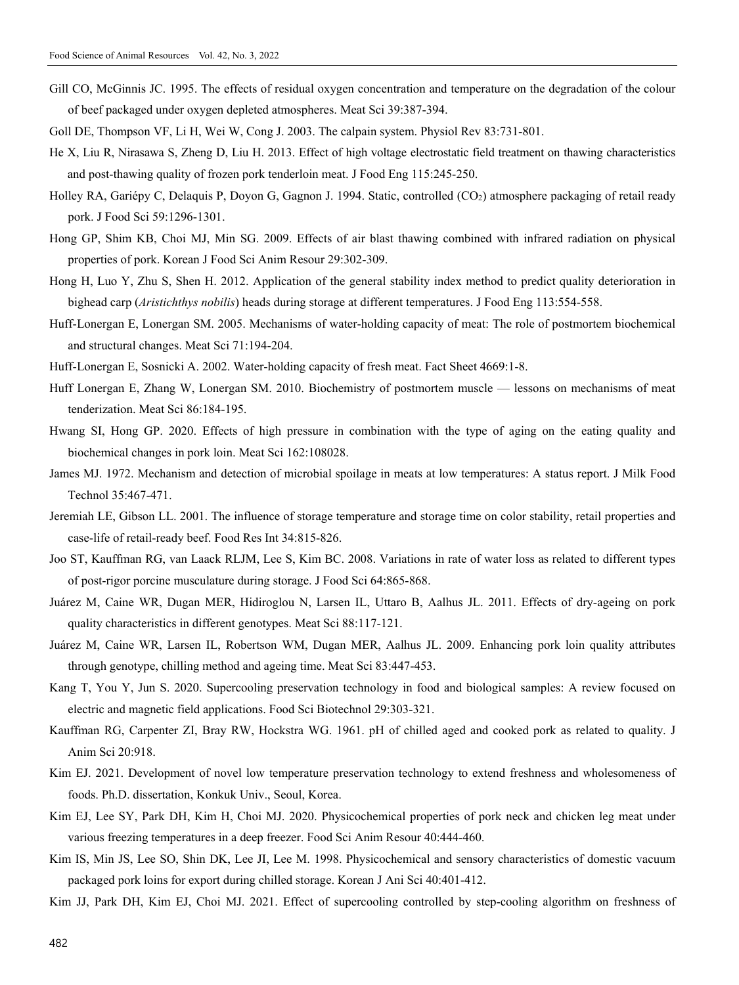- Gill CO, McGinnis JC. 1995. The effects of residual oxygen concentration and temperature on the degradation of the colour of beef packaged under oxygen depleted atmospheres. Meat Sci 39:387-394.
- Goll DE, Thompson VF, Li H, Wei W, Cong J. 2003. The calpain system. Physiol Rev 83:731-801.
- He X, Liu R, Nirasawa S, Zheng D, Liu H. 2013. Effect of high voltage electrostatic field treatment on thawing characteristics and post-thawing quality of frozen pork tenderloin meat. J Food Eng 115:245-250.
- Holley RA, Gariépy C, Delaquis P, Doyon G, Gagnon J. 1994. Static, controlled (CO<sub>2</sub>) atmosphere packaging of retail ready pork. J Food Sci 59:1296-1301.
- Hong GP, Shim KB, Choi MJ, Min SG. 2009. Effects of air blast thawing combined with infrared radiation on physical properties of pork. Korean J Food Sci Anim Resour 29:302-309.
- Hong H, Luo Y, Zhu S, Shen H. 2012. Application of the general stability index method to predict quality deterioration in bighead carp (*Aristichthys nobilis*) heads during storage at different temperatures. J Food Eng 113:554-558.
- Huff-Lonergan E, Lonergan SM. 2005. Mechanisms of water-holding capacity of meat: The role of postmortem biochemical and structural changes. Meat Sci 71:194-204.
- Huff-Lonergan E, Sosnicki A. 2002. Water-holding capacity of fresh meat. Fact Sheet 4669:1-8.
- Huff Lonergan E, Zhang W, Lonergan SM. 2010. Biochemistry of postmortem muscle lessons on mechanisms of meat tenderization. Meat Sci 86:184-195.
- Hwang SI, Hong GP. 2020. Effects of high pressure in combination with the type of aging on the eating quality and biochemical changes in pork loin. Meat Sci 162:108028.
- James MJ. 1972. Mechanism and detection of microbial spoilage in meats at low temperatures: A status report. J Milk Food Technol 35:467-471.
- Jeremiah LE, Gibson LL. 2001. The influence of storage temperature and storage time on color stability, retail properties and case-life of retail-ready beef. Food Res Int 34:815-826.
- Joo ST, Kauffman RG, van Laack RLJM, Lee S, Kim BC. 2008. Variations in rate of water loss as related to different types of post-rigor porcine musculature during storage. J Food Sci 64:865-868.
- Juárez M, Caine WR, Dugan MER, Hidiroglou N, Larsen IL, Uttaro B, Aalhus JL. 2011. Effects of dry-ageing on pork quality characteristics in different genotypes. Meat Sci 88:117-121.
- Juárez M, Caine WR, Larsen IL, Robertson WM, Dugan MER, Aalhus JL. 2009. Enhancing pork loin quality attributes through genotype, chilling method and ageing time. Meat Sci 83:447-453.
- Kang T, You Y, Jun S. 2020. Supercooling preservation technology in food and biological samples: A review focused on electric and magnetic field applications. Food Sci Biotechnol 29:303-321.
- Kauffman RG, Carpenter ZI, Bray RW, Hockstra WG. 1961. pH of chilled aged and cooked pork as related to quality. J Anim Sci 20:918.
- Kim EJ. 2021. Development of novel low temperature preservation technology to extend freshness and wholesomeness of foods. Ph.D. dissertation, Konkuk Univ., Seoul, Korea.
- Kim EJ, Lee SY, Park DH, Kim H, Choi MJ. 2020. Physicochemical properties of pork neck and chicken leg meat under various freezing temperatures in a deep freezer. Food Sci Anim Resour 40:444-460.
- Kim IS, Min JS, Lee SO, Shin DK, Lee JI, Lee M. 1998. Physicochemical and sensory characteristics of domestic vacuum packaged pork loins for export during chilled storage. Korean J Ani Sci 40:401-412.

Kim JJ, Park DH, Kim EJ, Choi MJ. 2021. Effect of supercooling controlled by step-cooling algorithm on freshness of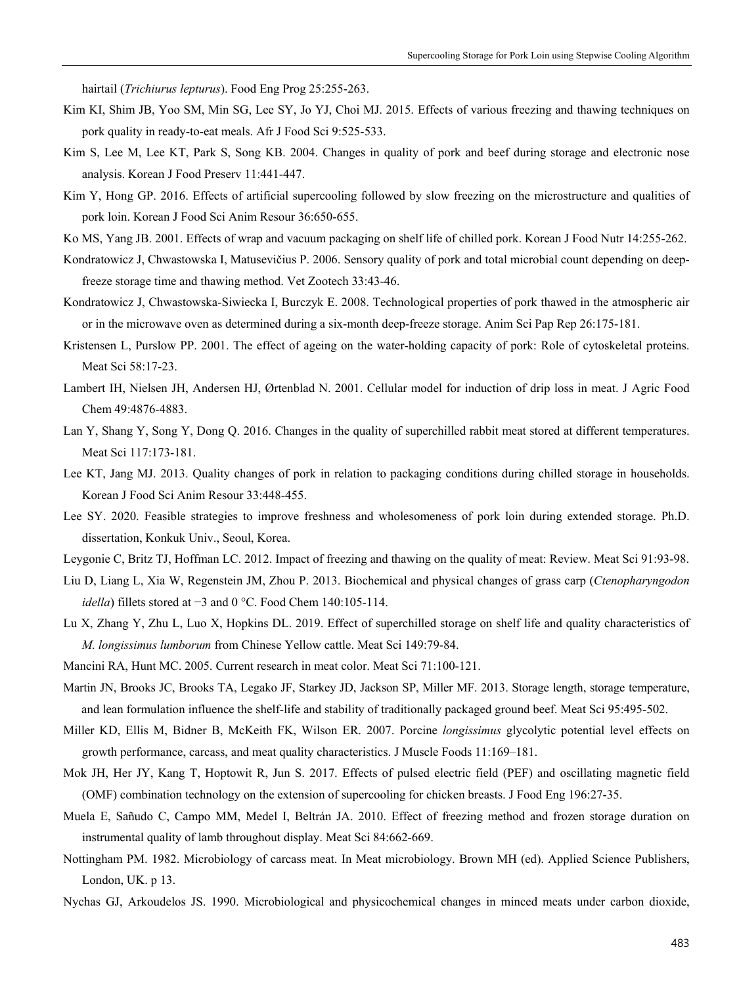hairtail (*Trichiurus lepturus*). Food Eng Prog 25:255-263.

- Kim KI, Shim JB, Yoo SM, Min SG, Lee SY, Jo YJ, Choi MJ. 2015. Effects of various freezing and thawing techniques on pork quality in ready-to-eat meals. Afr J Food Sci 9:525-533.
- Kim S, Lee M, Lee KT, Park S, Song KB. 2004. Changes in quality of pork and beef during storage and electronic nose analysis. Korean J Food Preserv 11:441-447.
- Kim Y, Hong GP. 2016. Effects of artificial supercooling followed by slow freezing on the microstructure and qualities of pork loin. Korean J Food Sci Anim Resour 36:650-655.
- Ko MS, Yang JB. 2001. Effects of wrap and vacuum packaging on shelf life of chilled pork. Korean J Food Nutr 14:255-262.
- Kondratowicz J, Chwastowska I, Matusevičius P. 2006. Sensory quality of pork and total microbial count depending on deepfreeze storage time and thawing method. Vet Zootech 33:43-46.
- Kondratowicz J, Chwastowska-Siwiecka I, Burczyk E. 2008. Technological properties of pork thawed in the atmospheric air or in the microwave oven as determined during a six-month deep-freeze storage. Anim Sci Pap Rep 26:175-181.
- Kristensen L, Purslow PP. 2001. The effect of ageing on the water-holding capacity of pork: Role of cytoskeletal proteins. Meat Sci 58:17-23.
- Lambert IH, Nielsen JH, Andersen HJ, Ørtenblad N. 2001. Cellular model for induction of drip loss in meat. J Agric Food Chem 49:4876-4883.
- Lan Y, Shang Y, Song Y, Dong Q. 2016. Changes in the quality of superchilled rabbit meat stored at different temperatures. Meat Sci 117:173-181.
- Lee KT, Jang MJ. 2013. Quality changes of pork in relation to packaging conditions during chilled storage in households. Korean J Food Sci Anim Resour 33:448-455.
- Lee SY. 2020. Feasible strategies to improve freshness and wholesomeness of pork loin during extended storage. Ph.D. dissertation, Konkuk Univ., Seoul, Korea.
- Leygonie C, Britz TJ, Hoffman LC. 2012. Impact of freezing and thawing on the quality of meat: Review. Meat Sci 91:93-98.
- Liu D, Liang L, Xia W, Regenstein JM, Zhou P. 2013. Biochemical and physical changes of grass carp (*Ctenopharyngodon idella*) fillets stored at −3 and 0 °C. Food Chem 140:105-114.
- Lu X, Zhang Y, Zhu L, Luo X, Hopkins DL. 2019. Effect of superchilled storage on shelf life and quality characteristics of *M. longissimus lumborum* from Chinese Yellow cattle. Meat Sci 149:79-84.
- Mancini RA, Hunt MC. 2005. Current research in meat color. Meat Sci 71:100-121.
- Martin JN, Brooks JC, Brooks TA, Legako JF, Starkey JD, Jackson SP, Miller MF. 2013. Storage length, storage temperature, and lean formulation influence the shelf-life and stability of traditionally packaged ground beef. Meat Sci 95:495-502.
- Miller KD, Ellis M, Bidner B, McKeith FK, Wilson ER. 2007. Porcine *longissimus* glycolytic potential level effects on growth performance, carcass, and meat quality characteristics. J Muscle Foods 11:169–181.
- Mok JH, Her JY, Kang T, Hoptowit R, Jun S. 2017. Effects of pulsed electric field (PEF) and oscillating magnetic field (OMF) combination technology on the extension of supercooling for chicken breasts. J Food Eng 196:27-35.
- Muela E, Sañudo C, Campo MM, Medel I, Beltrán JA. 2010. Effect of freezing method and frozen storage duration on instrumental quality of lamb throughout display. Meat Sci 84:662-669.
- Nottingham PM. 1982. Microbiology of carcass meat. In Meat microbiology. Brown MH (ed). Applied Science Publishers, London, UK. p 13.
- Nychas GJ, Arkoudelos JS. 1990. Microbiological and physicochemical changes in minced meats under carbon dioxide,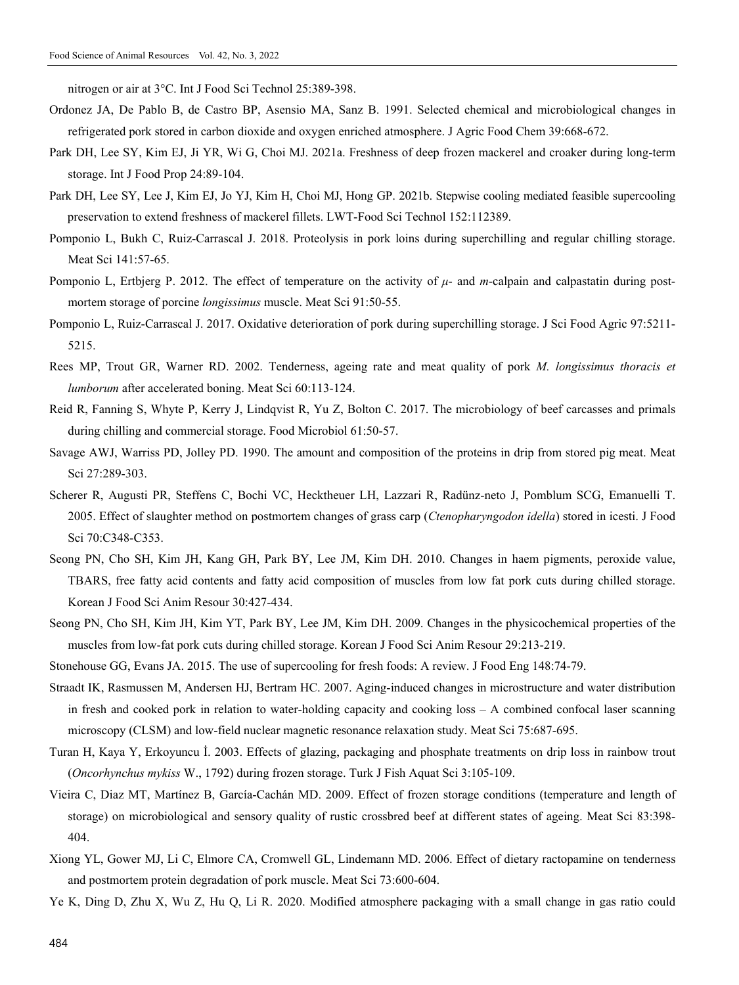nitrogen or air at 3°C. Int J Food Sci Technol 25:389-398.

- Ordonez JA, De Pablo B, de Castro BP, Asensio MA, Sanz B. 1991. Selected chemical and microbiological changes in refrigerated pork stored in carbon dioxide and oxygen enriched atmosphere. J Agric Food Chem 39:668-672.
- Park DH, Lee SY, Kim EJ, Ji YR, Wi G, Choi MJ. 2021a. Freshness of deep frozen mackerel and croaker during long-term storage. Int J Food Prop 24:89-104.
- Park DH, Lee SY, Lee J, Kim EJ, Jo YJ, Kim H, Choi MJ, Hong GP. 2021b. Stepwise cooling mediated feasible supercooling preservation to extend freshness of mackerel fillets. LWT-Food Sci Technol 152:112389.
- Pomponio L, Bukh C, Ruiz-Carrascal J. 2018. Proteolysis in pork loins during superchilling and regular chilling storage. Meat Sci 141:57-65.
- Pomponio L, Ertbjerg P. 2012. The effect of temperature on the activity of *μ* and *m*-calpain and calpastatin during postmortem storage of porcine *longissimus* muscle. Meat Sci 91:50-55.
- Pomponio L, Ruiz-Carrascal J. 2017. Oxidative deterioration of pork during superchilling storage. J Sci Food Agric 97:5211- 5215.
- Rees MP, Trout GR, Warner RD. 2002. Tenderness, ageing rate and meat quality of pork *M. longissimus thoracis et lumborum* after accelerated boning. Meat Sci 60:113-124.
- Reid R, Fanning S, Whyte P, Kerry J, Lindqvist R, Yu Z, Bolton C. 2017. The microbiology of beef carcasses and primals during chilling and commercial storage. Food Microbiol 61:50-57.
- Savage AWJ, Warriss PD, Jolley PD. 1990. The amount and composition of the proteins in drip from stored pig meat. Meat Sci 27:289-303.
- Scherer R, Augusti PR, Steffens C, Bochi VC, Hecktheuer LH, Lazzari R, Radünz-neto J, Pomblum SCG, Emanuelli T. 2005. Effect of slaughter method on postmortem changes of grass carp (*Ctenopharyngodon idella*) stored in icesti. J Food Sci 70:C348-C353.
- Seong PN, Cho SH, Kim JH, Kang GH, Park BY, Lee JM, Kim DH. 2010. Changes in haem pigments, peroxide value, TBARS, free fatty acid contents and fatty acid composition of muscles from low fat pork cuts during chilled storage. Korean J Food Sci Anim Resour 30:427-434.
- Seong PN, Cho SH, Kim JH, Kim YT, Park BY, Lee JM, Kim DH. 2009. Changes in the physicochemical properties of the muscles from low-fat pork cuts during chilled storage. Korean J Food Sci Anim Resour 29:213-219.
- Stonehouse GG, Evans JA. 2015. The use of supercooling for fresh foods: A review. J Food Eng 148:74-79.
- Straadt IK, Rasmussen M, Andersen HJ, Bertram HC. 2007. Aging-induced changes in microstructure and water distribution in fresh and cooked pork in relation to water-holding capacity and cooking loss – A combined confocal laser scanning microscopy (CLSM) and low-field nuclear magnetic resonance relaxation study. Meat Sci 75:687-695.
- Turan H, Kaya Y, Erkoyuncu İ. 2003. Effects of glazing, packaging and phosphate treatments on drip loss in rainbow trout (*Oncorhynchus mykiss* W., 1792) during frozen storage. Turk J Fish Aquat Sci 3:105-109.
- Vieira C, Diaz MT, Martínez B, García-Cachán MD. 2009. Effect of frozen storage conditions (temperature and length of storage) on microbiological and sensory quality of rustic crossbred beef at different states of ageing. Meat Sci 83:398- 404.
- Xiong YL, Gower MJ, Li C, Elmore CA, Cromwell GL, Lindemann MD. 2006. Effect of dietary ractopamine on tenderness and postmortem protein degradation of pork muscle. Meat Sci 73:600-604.
- Ye K, Ding D, Zhu X, Wu Z, Hu Q, Li R. 2020. Modified atmosphere packaging with a small change in gas ratio could